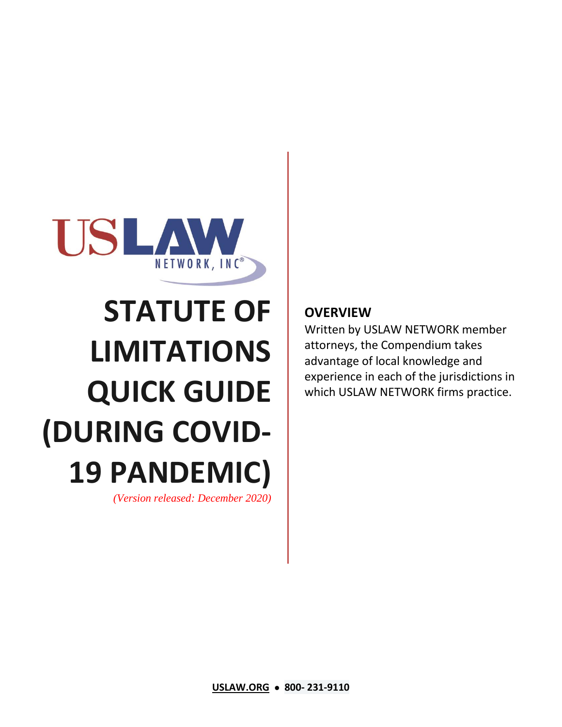

# **STATUTE OF LIMITATIONS QUICK GUIDE (DURING COVID-19 PANDEMIC)**

*(Version released: December 2020)*

## **OVERVIEW**

Written by USLAW NETWORK member attorneys, the Compendium takes advantage of local knowledge and experience in each of the jurisdictions in which USLAW NETWORK firms practice.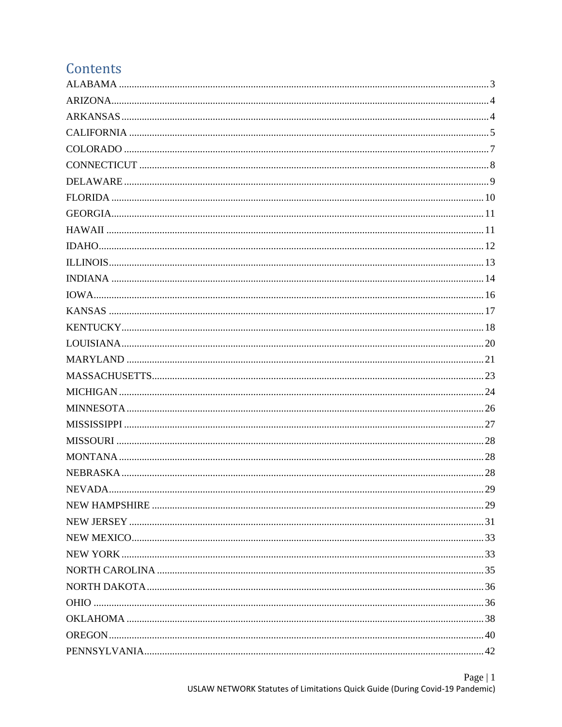## Contents

| <b>NEVADA</b> | 29 |
|---------------|----|
|               |    |
|               |    |
|               |    |
|               |    |
|               |    |
|               |    |
|               |    |
|               |    |
|               |    |
|               |    |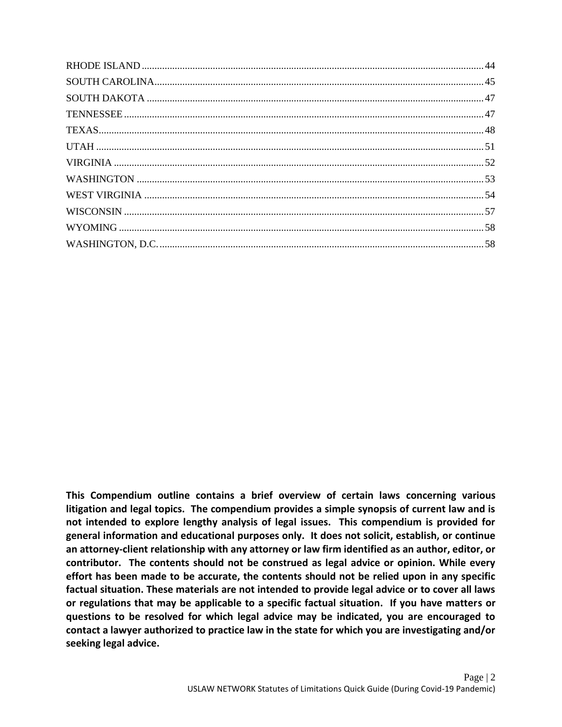**This Compendium outline contains a brief overview of certain laws concerning various litigation and legal topics. The compendium provides a simple synopsis of current law and is not intended to explore lengthy analysis of legal issues. This compendium is provided for general information and educational purposes only. It does not solicit, establish, or continue an attorney-client relationship with any attorney or law firm identified as an author, editor, or contributor. The contents should not be construed as legal advice or opinion. While every effort has been made to be accurate, the contents should not be relied upon in any specific factual situation. These materials are not intended to provide legal advice or to cover all laws or regulations that may be applicable to a specific factual situation. If you have matters or questions to be resolved for which legal advice may be indicated, you are encouraged to contact a lawyer authorized to practice law in the state for which you are investigating and/or seeking legal advice.**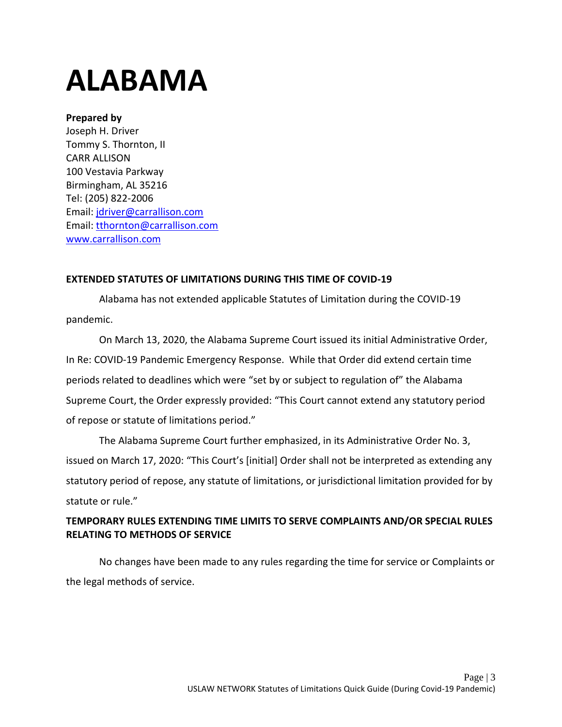## <span id="page-3-0"></span>**ALABAMA**

### **Prepared by**

Joseph H. Driver Tommy S. Thornton, II CARR ALLISON 100 Vestavia Parkway Birmingham, AL 35216 Tel: (205) 822-2006 Email: [jdriver@carrallison.com](mailto:jdriver@carrallison.com) Email: [tthornton@carrallison.com](mailto:tthornton@carrallison.com) [www.carrallison.com](http://www.carrallison.com/)

### **EXTENDED STATUTES OF LIMITATIONS DURING THIS TIME OF COVID-19**

Alabama has not extended applicable Statutes of Limitation during the COVID-19 pandemic.

On March 13, 2020, the Alabama Supreme Court issued its initial Administrative Order, In Re: COVID-19 Pandemic Emergency Response. While that Order did extend certain time periods related to deadlines which were "set by or subject to regulation of" the Alabama Supreme Court, the Order expressly provided: "This Court cannot extend any statutory period of repose or statute of limitations period."

The Alabama Supreme Court further emphasized, in its Administrative Order No. 3, issued on March 17, 2020: "This Court's [initial] Order shall not be interpreted as extending any statutory period of repose, any statute of limitations, or jurisdictional limitation provided for by statute or rule."

## **TEMPORARY RULES EXTENDING TIME LIMITS TO SERVE COMPLAINTS AND/OR SPECIAL RULES RELATING TO METHODS OF SERVICE**

No changes have been made to any rules regarding the time for service or Complaints or the legal methods of service.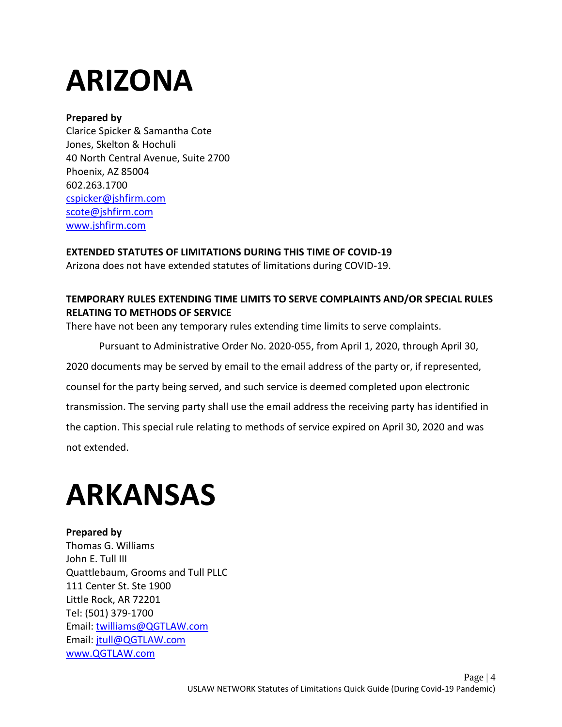# <span id="page-4-0"></span>**ARIZONA**

### **Prepared by**

Clarice Spicker & Samantha Cote Jones, Skelton & Hochuli 40 North Central Avenue, Suite 2700 Phoenix, AZ 85004 602.263.1700 [cspicker@jshfirm.com](mailto:cspicker@jshfirm.com) [scote@jshfirm.com](mailto:scote@jshfirm.com) [www.jshfirm.com](http://www.jshfirm.com/)

**EXTENDED STATUTES OF LIMITATIONS DURING THIS TIME OF COVID-19**

Arizona does not have extended statutes of limitations during COVID-19.

## **TEMPORARY RULES EXTENDING TIME LIMITS TO SERVE COMPLAINTS AND/OR SPECIAL RULES RELATING TO METHODS OF SERVICE**

There have not been any temporary rules extending time limits to serve complaints.

Pursuant to Administrative Order No. 2020-055, from April 1, 2020, through April 30, 2020 documents may be served by email to the email address of the party or, if represented, counsel for the party being served, and such service is deemed completed upon electronic transmission. The serving party shall use the email address the receiving party has identified in the caption. This special rule relating to methods of service expired on April 30, 2020 and was not extended.

# <span id="page-4-1"></span>**ARKANSAS**

**Prepared by**  Thomas G. Williams John E. Tull III Quattlebaum, Grooms and Tull PLLC 111 Center St. Ste 1900 Little Rock, AR 72201 Tel: (501) 379-1700 Email: [twilliams@QGTLAW.com](mailto:twilliams@QGTLAW.com) Email: [jtull@QGTLAW.com](mailto:jtull@QGTLAW.com) [www.QGTLAW.com](http://www.qgtlaw.com/)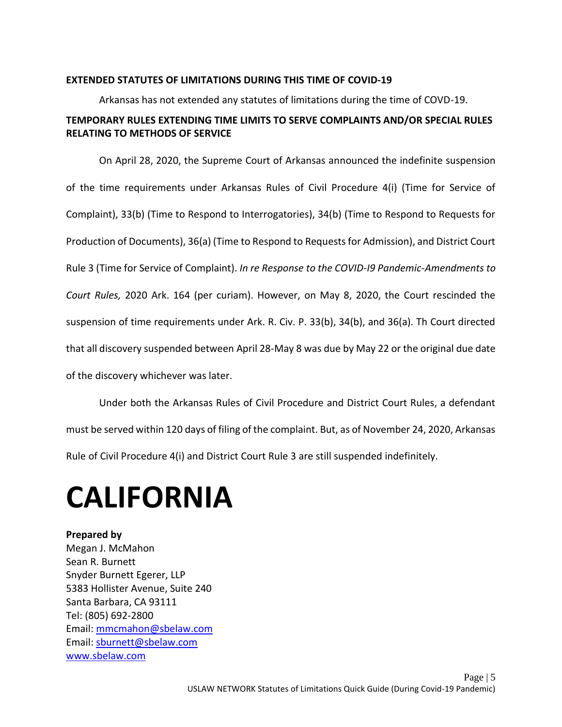#### **EXTENDED STATUTES OF LIMITATIONS DURING THIS TIME OF COVID-19**

Arkansas has not extended any statutes of limitations during the time of COVD-19.

### **TEMPORARY RULES EXTENDING TIME LIMITS TO SERVE COMPLAINTS AND/OR SPECIAL RULES RELATING TO METHODS OF SERVICE**

On April 28, 2020, the Supreme Court of Arkansas announced the indefinite suspension of the time requirements under Arkansas Rules of Civil Procedure 4(i) (Time for Service of Complaint), 33(b) (Time to Respond to Interrogatories), 34(b) (Time to Respond to Requests for Production of Documents), 36(a) (Time to Respond to Requests for Admission), and District Court Rule 3 (Time for Service of Complaint). *In re Response to the COVID-I9 Pandemic-Amendments to Court Rules,* 2020 Ark. 164 (per curiam). However, on May 8, 2020, the Court rescinded the suspension of time requirements under Ark. R. Civ. P. 33(b), 34(b), and 36(a). Th Court directed that all discovery suspended between April 28-May 8 was due by May 22 or the original due date of the discovery whichever was later.

Under both the Arkansas Rules of Civil Procedure and District Court Rules, a defendant must be served within 120 days of filing of the complaint. But, as of November 24, 2020, Arkansas Rule of Civil Procedure 4(i) and District Court Rule 3 are still suspended indefinitely.

# <span id="page-5-0"></span>**CALIFORNIA**

**Prepared by**  Megan J. McMahon Sean R. Burnett Snyder Burnett Egerer, LLP 5383 Hollister Avenue, Suite 240 Santa Barbara, CA 93111 Tel: (805) 692-2800 Email: [mmcmahon@sbelaw.com](mailto:mmcmahon@sbelaw.com) Email: [sburnett@sbelaw.com](mailto:sburnett@sbelaw.com) [www.sbelaw.com](https://www.sbelaw.com/)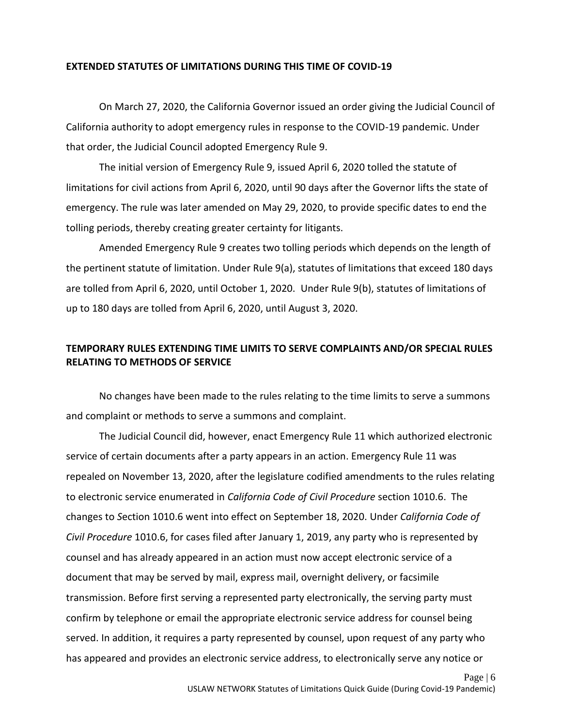#### **EXTENDED STATUTES OF LIMITATIONS DURING THIS TIME OF COVID-19**

On March 27, 2020, the California Governor issued an order giving the Judicial Council of California authority to adopt emergency rules in response to the COVID-19 pandemic. Under that order, the Judicial Council adopted Emergency Rule 9.

The initial version of Emergency Rule 9, issued April 6, 2020 tolled the statute of limitations for civil actions from April 6, 2020, until 90 days after the Governor lifts the state of emergency. The rule was later amended on May 29, 2020, to provide specific dates to end the tolling periods, thereby creating greater certainty for litigants.

Amended Emergency Rule 9 creates two tolling periods which depends on the length of the pertinent statute of limitation. Under Rule 9(a), statutes of limitations that exceed 180 days are tolled from April 6, 2020, until October 1, 2020. Under Rule 9(b), statutes of limitations of up to 180 days are tolled from April 6, 2020, until August 3, 2020.

### **TEMPORARY RULES EXTENDING TIME LIMITS TO SERVE COMPLAINTS AND/OR SPECIAL RULES RELATING TO METHODS OF SERVICE**

No changes have been made to the rules relating to the time limits to serve a summons and complaint or methods to serve a summons and complaint.

The Judicial Council did, however, enact Emergency Rule 11 which authorized electronic service of certain documents after a party appears in an action. Emergency Rule 11 was repealed on November 13, 2020, after the legislature codified amendments to the rules relating to electronic service enumerated in *California Code of Civil Procedure* section 1010.6. The changes to *S*ection 1010.6 went into effect on September 18, 2020. Under *California Code of Civil Procedure* 1010.6, for cases filed after January 1, 2019, any party who is represented by counsel and has already appeared in an action must now accept electronic service of a document that may be served by mail, express mail, overnight delivery, or facsimile transmission. Before first serving a represented party electronically, the serving party must confirm by telephone or email the appropriate electronic service address for counsel being served. In addition, it requires a party represented by counsel, upon request of any party who has appeared and provides an electronic service address, to electronically serve any notice or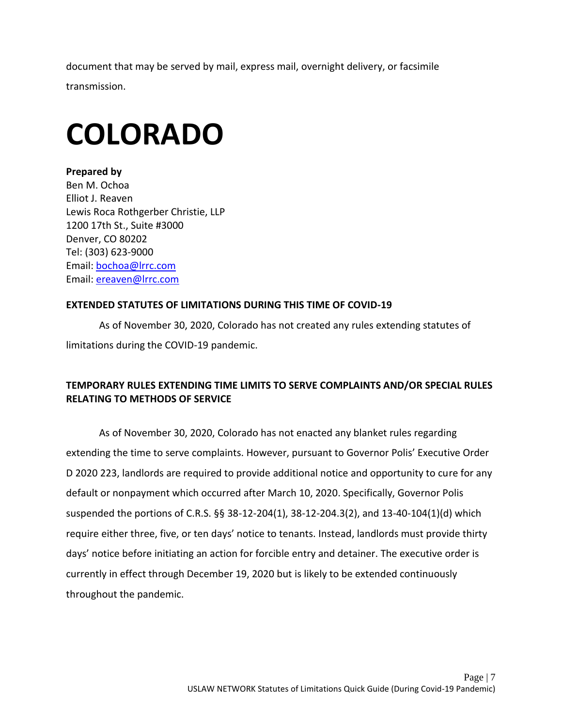document that may be served by mail, express mail, overnight delivery, or facsimile transmission.

# <span id="page-7-0"></span>**COLORADO**

**Prepared by**  Ben M. Ochoa Elliot J. Reaven Lewis Roca Rothgerber Christie, LLP 1200 17th St., Suite #3000 Denver, CO 80202 Tel: (303) 623-9000 Email: [bochoa@lrrc.com](mailto:bochoa@lrrc.com)  Email: ereaven@lrrc.com

### **EXTENDED STATUTES OF LIMITATIONS DURING THIS TIME OF COVID-19**

As of November 30, 2020, Colorado has not created any rules extending statutes of limitations during the COVID-19 pandemic.

## **TEMPORARY RULES EXTENDING TIME LIMITS TO SERVE COMPLAINTS AND/OR SPECIAL RULES RELATING TO METHODS OF SERVICE**

As of November 30, 2020, Colorado has not enacted any blanket rules regarding extending the time to serve complaints. However, pursuant to Governor Polis' Executive Order D 2020 223, landlords are required to provide additional notice and opportunity to cure for any default or nonpayment which occurred after March 10, 2020. Specifically, Governor Polis suspended the portions of C.R.S. §§ 38-12-204(1), 38-12-204.3(2), and 13-40-104(1)(d) which require either three, five, or ten days' notice to tenants. Instead, landlords must provide thirty days' notice before initiating an action for forcible entry and detainer. The executive order is currently in effect through December 19, 2020 but is likely to be extended continuously throughout the pandemic.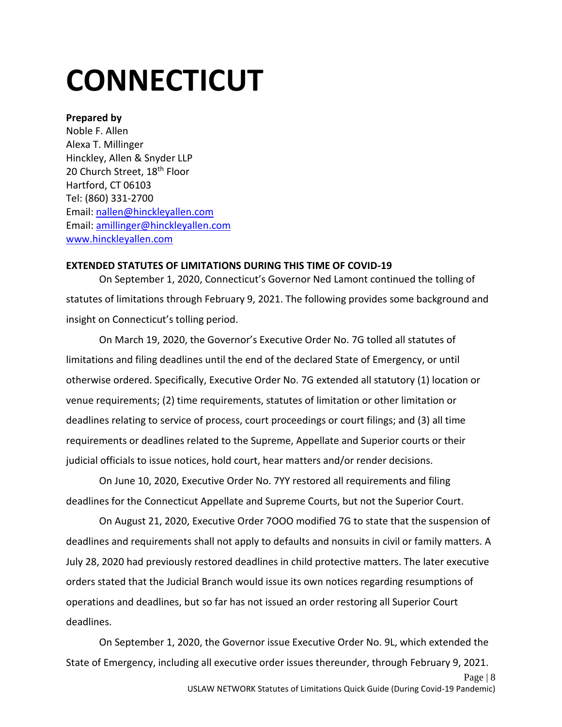# <span id="page-8-0"></span>**CONNECTICUT**

#### **Prepared by**

Noble F. Allen Alexa T. Millinger Hinckley, Allen & Snyder LLP 20 Church Street, 18<sup>th</sup> Floor Hartford, CT 06103 Tel: (860) 331-2700 Email: [nallen@hinckleyallen.com](mailto:nallen@hinckleyallen.com)  Email: [amillinger@hinckleyallen.com](mailto:amillinger@hinckleyallen.com) [www.hinckleyallen.com](http://www.hinckleyallen.com/)

#### **EXTENDED STATUTES OF LIMITATIONS DURING THIS TIME OF COVID-19**

On September 1, 2020, Connecticut's Governor Ned Lamont continued the tolling of statutes of limitations through February 9, 2021. The following provides some background and insight on Connecticut's tolling period.

On March 19, 2020, the Governor's Executive Order No. 7G tolled all statutes of limitations and filing deadlines until the end of the declared State of Emergency, or until otherwise ordered. Specifically, Executive Order No. 7G extended all statutory (1) location or venue requirements; (2) time requirements, statutes of limitation or other limitation or deadlines relating to service of process, court proceedings or court filings; and (3) all time requirements or deadlines related to the Supreme, Appellate and Superior courts or their judicial officials to issue notices, hold court, hear matters and/or render decisions.

On June 10, 2020, Executive Order No. 7YY restored all requirements and filing deadlines for the Connecticut Appellate and Supreme Courts, but not the Superior Court.

On August 21, 2020, Executive Order 7OOO modified 7G to state that the suspension of deadlines and requirements shall not apply to defaults and nonsuits in civil or family matters. A July 28, 2020 had previously restored deadlines in child protective matters. The later executive orders stated that the Judicial Branch would issue its own notices regarding resumptions of operations and deadlines, but so far has not issued an order restoring all Superior Court deadlines.

On September 1, 2020, the Governor issue Executive Order No. 9L, which extended the State of Emergency, including all executive order issues thereunder, through February 9, 2021.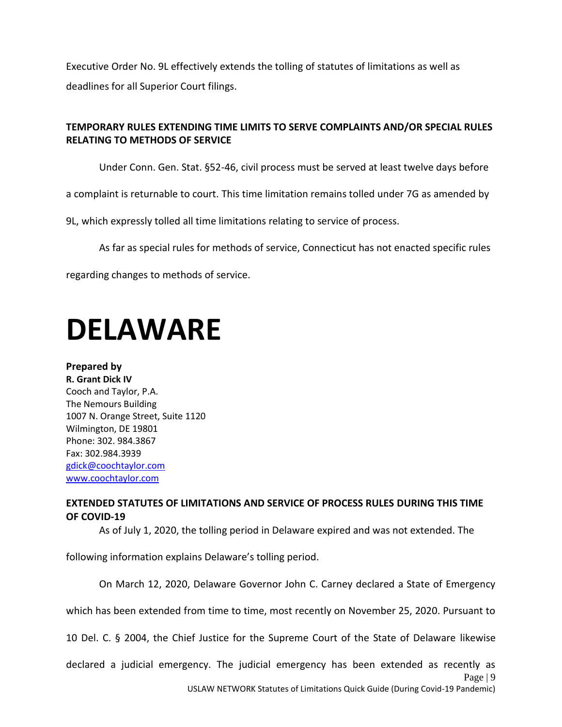Executive Order No. 9L effectively extends the tolling of statutes of limitations as well as deadlines for all Superior Court filings.

## **TEMPORARY RULES EXTENDING TIME LIMITS TO SERVE COMPLAINTS AND/OR SPECIAL RULES RELATING TO METHODS OF SERVICE**

Under Conn. Gen. Stat. §52-46, civil process must be served at least twelve days before

a complaint is returnable to court. This time limitation remains tolled under 7G as amended by

9L, which expressly tolled all time limitations relating to service of process.

As far as special rules for methods of service, Connecticut has not enacted specific rules

regarding changes to methods of service.

## <span id="page-9-0"></span>**DELAWARE**

**Prepared by R. Grant Dick IV** Cooch and Taylor, P.A. The Nemours Building 1007 N. Orange Street, Suite 1120 Wilmington, DE 19801 Phone: 302. 984.3867 Fax: 302.984.3939 [gdick@coochtaylor.com](mailto:gdick@coochtaylor.com) [www.coochtaylor.com](http://www.coochtaylor.com/)

### **EXTENDED STATUTES OF LIMITATIONS AND SERVICE OF PROCESS RULES DURING THIS TIME OF COVID-19**

As of July 1, 2020, the tolling period in Delaware expired and was not extended. The

following information explains Delaware's tolling period.

On March 12, 2020, Delaware Governor John C. Carney declared a State of Emergency

which has been extended from time to time, most recently on November 25, 2020. Pursuant to

10 Del. C. § 2004, the Chief Justice for the Supreme Court of the State of Delaware likewise

Page | 9 declared a judicial emergency. The judicial emergency has been extended as recently as

USLAW NETWORK Statutes of Limitations Quick Guide (During Covid-19 Pandemic)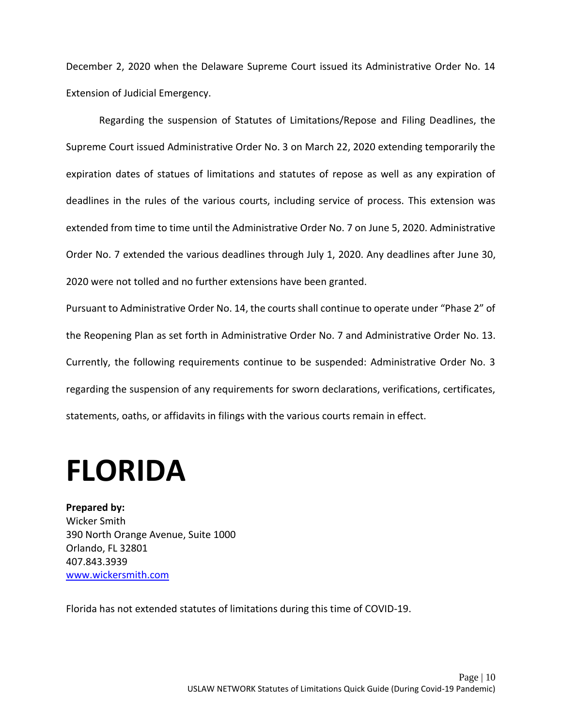December 2, 2020 when the Delaware Supreme Court issued its Administrative Order No. 14 Extension of Judicial Emergency.

Regarding the suspension of Statutes of Limitations/Repose and Filing Deadlines, the Supreme Court issued Administrative Order No. 3 on March 22, 2020 extending temporarily the expiration dates of statues of limitations and statutes of repose as well as any expiration of deadlines in the rules of the various courts, including service of process. This extension was extended from time to time until the Administrative Order No. 7 on June 5, 2020. Administrative Order No. 7 extended the various deadlines through July 1, 2020. Any deadlines after June 30, 2020 were not tolled and no further extensions have been granted.

Pursuant to Administrative Order No. 14, the courts shall continue to operate under "Phase 2" of the Reopening Plan as set forth in Administrative Order No. 7 and Administrative Order No. 13. Currently, the following requirements continue to be suspended: Administrative Order No. 3 regarding the suspension of any requirements for sworn declarations, verifications, certificates, statements, oaths, or affidavits in filings with the various courts remain in effect.

## <span id="page-10-0"></span>**FLORIDA**

**Prepared by:** Wicker Smith 390 North Orange Avenue, Suite 1000 Orlando, FL 32801 407.843.3939 [www.wickersmith.com](http://www.wickersmith.com/)

Florida has not extended statutes of limitations during this time of COVID-19.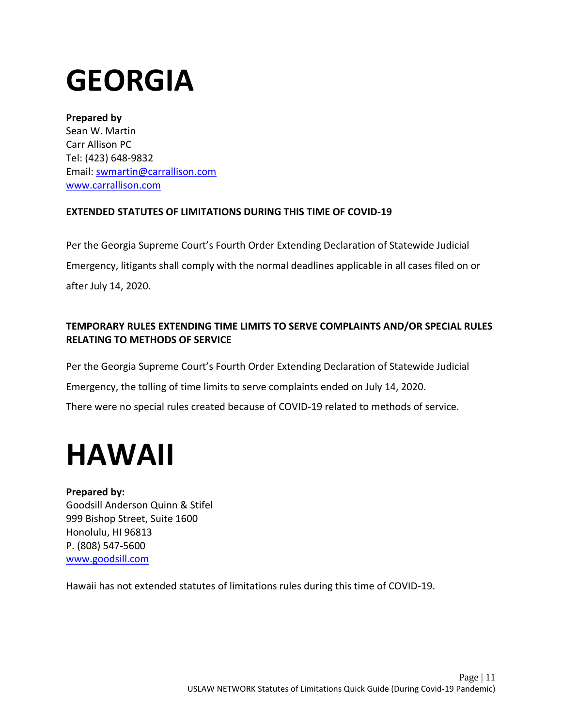# <span id="page-11-0"></span>**GEORGIA**

### **Prepared by**

Sean W. Martin Carr Allison PC Tel: (423) 648-9832 Email: [swmartin@carrallison.com](mailto:swmartin@carrallison.com)  [www.carrallison.com](http://www.carrallison.com/)

## **EXTENDED STATUTES OF LIMITATIONS DURING THIS TIME OF COVID-19**

Per the Georgia Supreme Court's Fourth Order Extending Declaration of Statewide Judicial Emergency, litigants shall comply with the normal deadlines applicable in all cases filed on or after July 14, 2020.

## **TEMPORARY RULES EXTENDING TIME LIMITS TO SERVE COMPLAINTS AND/OR SPECIAL RULES RELATING TO METHODS OF SERVICE**

Per the Georgia Supreme Court's Fourth Order Extending Declaration of Statewide Judicial Emergency, the tolling of time limits to serve complaints ended on July 14, 2020. There were no special rules created because of COVID-19 related to methods of service.

## <span id="page-11-1"></span>**HAWAII**

## **Prepared by:**

Goodsill Anderson Quinn & Stifel 999 Bishop Street, Suite 1600 Honolulu, HI 96813 P. (808) 547-5600 [www.goodsill.com](http://www.goodsill.com/)

Hawaii has not extended statutes of limitations rules during this time of COVID-19.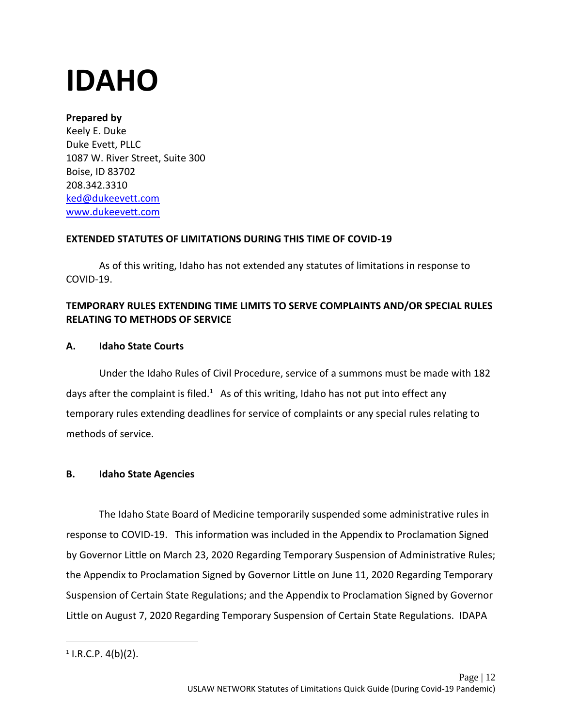# <span id="page-12-0"></span>**IDAHO**

## **Prepared by**

Keely E. Duke Duke Evett, PLLC 1087 W. River Street, Suite 300 Boise, ID 83702 208.342.3310 [ked@dukeevett.com](mailto:ked@dukeevett.com) [www.dukeevett.com](http://www.dukeevett.com/) 

## **EXTENDED STATUTES OF LIMITATIONS DURING THIS TIME OF COVID-19**

As of this writing, Idaho has not extended any statutes of limitations in response to COVID-19.

## **TEMPORARY RULES EXTENDING TIME LIMITS TO SERVE COMPLAINTS AND/OR SPECIAL RULES RELATING TO METHODS OF SERVICE**

## **A. Idaho State Courts**

Under the Idaho Rules of Civil Procedure, service of a summons must be made with 182 days after the complaint is filed.<sup>1</sup> As of this writing, Idaho has not put into effect any temporary rules extending deadlines for service of complaints or any special rules relating to methods of service.

## **B. Idaho State Agencies**

The Idaho State Board of Medicine temporarily suspended some administrative rules in response to COVID-19. This information was included in the Appendix to Proclamation Signed by Governor Little on March 23, 2020 Regarding Temporary Suspension of Administrative Rules; the Appendix to Proclamation Signed by Governor Little on June 11, 2020 Regarding Temporary Suspension of Certain State Regulations; and the Appendix to Proclamation Signed by Governor Little on August 7, 2020 Regarding Temporary Suspension of Certain State Regulations. IDAPA

 $1$  I.R.C.P.  $4(b)(2)$ .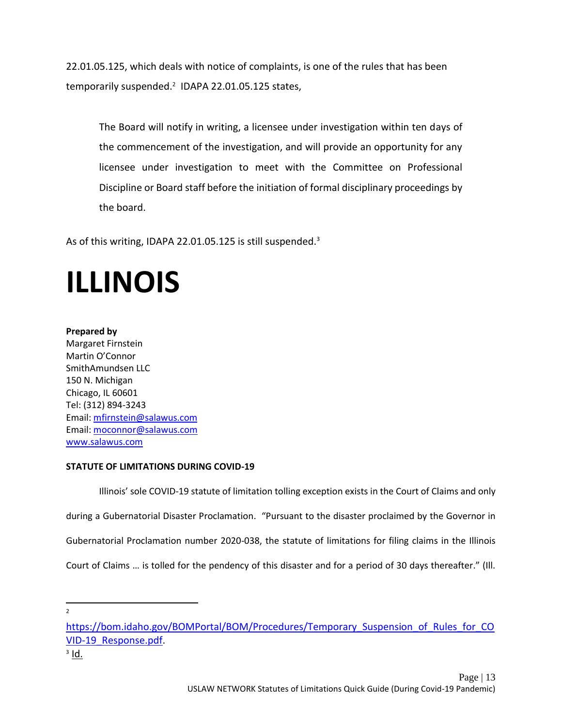22.01.05.125, which deals with notice of complaints, is one of the rules that has been temporarily suspended.<sup>2</sup> IDAPA 22.01.05.125 states,

The Board will notify in writing, a licensee under investigation within ten days of the commencement of the investigation, and will provide an opportunity for any licensee under investigation to meet with the Committee on Professional Discipline or Board staff before the initiation of formal disciplinary proceedings by the board.

As of this writing, IDAPA 22.01.05.125 is still suspended.<sup>3</sup>

# <span id="page-13-0"></span>**ILLINOIS**

#### **Prepared by**

Margaret Firnstein Martin O'Connor SmithAmundsen LLC 150 N. Michigan Chicago, IL 60601 Tel: (312) 894-3243 Email: [mfirnstein@salawus.com](mailto:mfirnstein@salawus.com) Email: [moconnor@salawus.com](mailto:moconnor@salawus.com) [www.salawus.com](http://www.salawus.com/)

#### **STATUTE OF LIMITATIONS DURING COVID-19**

Illinois' sole COVID-19 statute of limitation tolling exception exists in the Court of Claims and only during a Gubernatorial Disaster Proclamation. "Pursuant to the disaster proclaimed by the Governor in Gubernatorial Proclamation number 2020-038, the statute of limitations for filing claims in the Illinois Court of Claims … is tolled for the pendency of this disaster and for a period of 30 days thereafter." (Ill.

2

<sup>3</sup> <u>Id.</u>

[https://bom.idaho.gov/BOMPortal/BOM/Procedures/Temporary\\_Suspension\\_of\\_Rules\\_for\\_CO](https://bom.idaho.gov/BOMPortal/BOM/Procedures/Temporary_Suspension_of_Rules_for_COVID-19_Response.pdf) [VID-19\\_Response.pdf.](https://bom.idaho.gov/BOMPortal/BOM/Procedures/Temporary_Suspension_of_Rules_for_COVID-19_Response.pdf)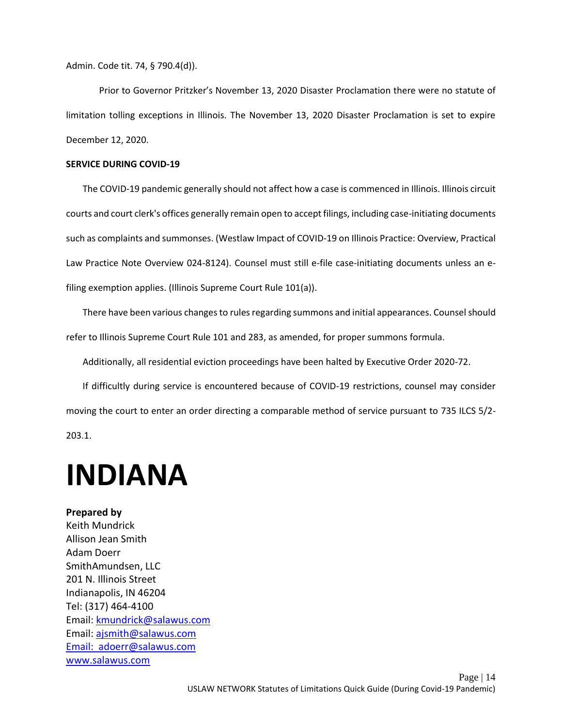Admin. Code tit. 74, § 790.4(d)).

Prior to Governor Pritzker's November 13, 2020 Disaster Proclamation there were no statute of limitation tolling exceptions in Illinois. The November 13, 2020 Disaster Proclamation is set to expire December 12, 2020.

#### **SERVICE DURING COVID-19**

The COVID-19 pandemic generally should not affect how a case is commenced in Illinois. Illinois circuit courts and court clerk's offices generally remain open to accept filings, including case-initiating documents such as complaints and summonses. (Westlaw Impact of COVID-19 on Illinois Practice: Overview, Practical Law Practice Note Overview 024-8124). Counsel must still e-file case-initiating documents unless an efiling exemption applies. (Illinois Supreme Court Rule 101(a)).

There have been various changes to rules regarding summons and initial appearances. Counsel should refer to Illinois Supreme Court Rule 101 and 283, as amended, for proper summons formula.

Additionally, all residential eviction proceedings have been halted by Executive Order 2020-72.

If difficultly during service is encountered because of COVID-19 restrictions, counsel may consider moving the court to enter an order directing a comparable method of service pursuant to [735 ILCS 5/2-](https://1.next.westlaw.com/Link/Document/FullText?findType=L&pubNum=1000008&cite=IL735S5%2f2-203.1&originatingDoc=I5babcf9f745c11ea80afece799150095&refType=LQ&originationContext=document&transitionType=PLDocumentLink&billingHash=9F19FEEDB98E54EA0DF171B53F72B2F35B1EE5147FF1B36277EE87BB36BF0FC6&contextData=(sc.DocLink)) [203.1.](https://1.next.westlaw.com/Link/Document/FullText?findType=L&pubNum=1000008&cite=IL735S5%2f2-203.1&originatingDoc=I5babcf9f745c11ea80afece799150095&refType=LQ&originationContext=document&transitionType=PLDocumentLink&billingHash=9F19FEEDB98E54EA0DF171B53F72B2F35B1EE5147FF1B36277EE87BB36BF0FC6&contextData=(sc.DocLink))

## <span id="page-14-0"></span>**INDIANA**

#### **Prepared by**

Keith Mundrick Allison Jean Smith Adam Doerr SmithAmundsen, LLC 201 N. Illinois Street Indianapolis, IN 46204 Tel: (317) 464-4100 Email: [kmundrick@salawus.com](mailto:kmundrick@salawus.com)  Email: [ajsmith@salawus.com](mailto:ajsmith@salawus.com) Email: [adoerr@salawus.com](mailto:doerr@salawus.com)  [www.salawus.com](http://www.salawus.com/)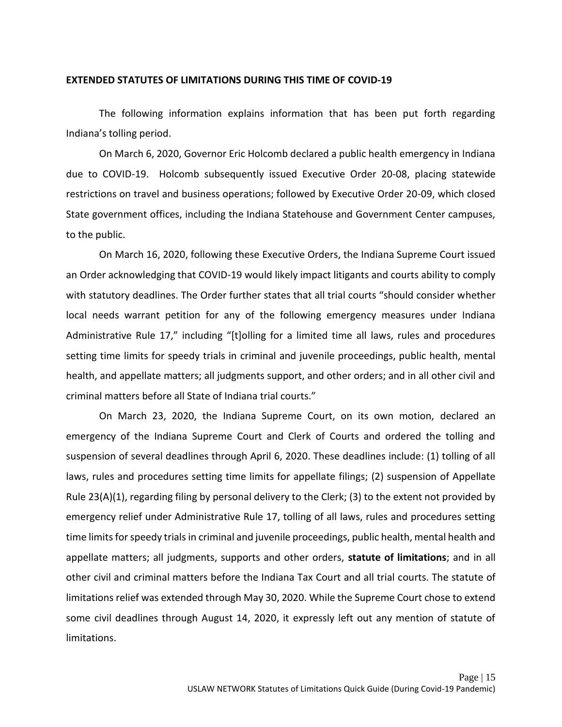#### **EXTENDED STATUTES OF LIMITATIONS DURING THIS TIME OF COVID-19**

The following information explains information that has been put forth regarding Indiana's tolling period.

On March 6, 2020, Governor Eric Holcomb declared a public health emergency in Indiana due to COVID-19. Holcomb subsequently issued Executive Order 20-08, placing statewide restrictions on travel and business operations; followed by Executive Order 20-09, which closed State government offices, including the Indiana Statehouse and Government Center campuses, to the public.

On March 16, 2020, following these Executive Orders, the Indiana Supreme Court issued an Order acknowledging that COVID-19 would likely impact litigants and courts ability to comply with statutory deadlines. The Order further states that all trial courts "should consider whether local needs warrant petition for any of the following emergency measures under Indiana Administrative Rule 17," including "[t]olling for a limited time all laws, rules and procedures setting time limits for speedy trials in criminal and juvenile proceedings, public health, mental health, and appellate matters; all judgments support, and other orders; and in all other civil and criminal matters before all State of Indiana trial courts."

On March 23, 2020, the Indiana Supreme Court, on its own motion, declared an emergency of the Indiana Supreme Court and Clerk of Courts and ordered the tolling and suspension of several deadlines through April 6, 2020. These deadlines include: (1) tolling of all laws, rules and procedures setting time limits for appellate filings; (2) suspension of Appellate Rule 23(A)(1), regarding filing by personal delivery to the Clerk; (3) to the extent not provided by emergency relief under Administrative Rule 17, tolling of all laws, rules and procedures setting time limits for speedy trials in criminal and juvenile proceedings, public health, mental health and appellate matters; all judgments, supports and other orders, **statute of limitations**; and in all other civil and criminal matters before the Indiana Tax Court and all trial courts. The statute of limitations relief was extended through May 30, 2020. While the Supreme Court chose to extend some civil deadlines through August 14, 2020, it expressly left out any mention of statute of limitations.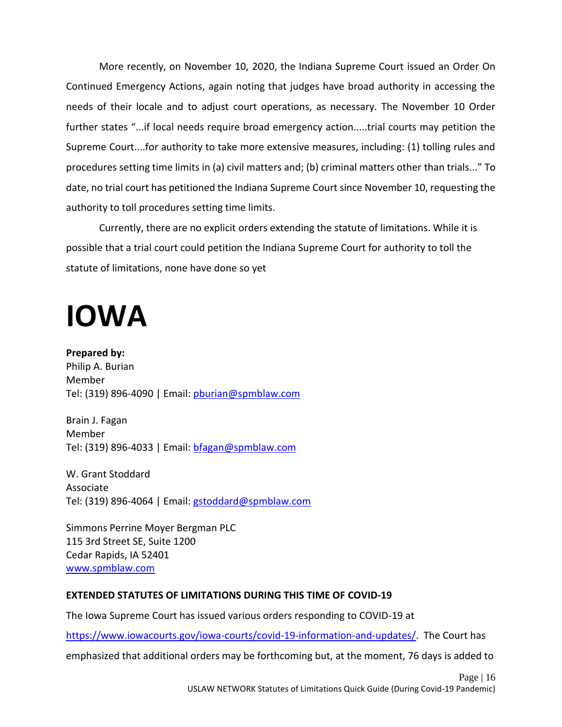More recently, on November 10, 2020, the Indiana Supreme Court issued an Order On Continued Emergency Actions, again noting that judges have broad authority in accessing the needs of their locale and to adjust court operations, as necessary. The November 10 Order further states "...if local needs require broad emergency action.....trial courts may petition the Supreme Court....for authority to take more extensive measures, including: (1) tolling rules and procedures setting time limits in (a) civil matters and; (b) criminal matters other than trials..." To date, no trial court has petitioned the Indiana Supreme Court since November 10, requesting the authority to toll procedures setting time limits.

Currently, there are no explicit orders extending the statute of limitations. While it is possible that a trial court could petition the Indiana Supreme Court for authority to toll the statute of limitations, none have done so yet

## <span id="page-16-0"></span>**IOWA**

**Prepared by:** Philip A. Burian Member Tel: (319) 896-4090 | Email: [pburian@spmblaw.com](mailto:pburian@spmblaw.com)

Brain J. Fagan Member Tel: (319) 896-4033 | Email: [bfagan@spmblaw.com](mailto:bfagan@spmblaw.com)

W. Grant Stoddard Associate Tel: (319) 896-4064 | Email: [gstoddard@spmblaw.com](mailto:gstoddard@spmblaw.com)

Simmons Perrine Moyer Bergman PLC 115 3rd Street SE, Suite 1200 Cedar Rapids, IA 52401 [www.spmblaw.com](http://www.spmblaw.com/)

## **EXTENDED STATUTES OF LIMITATIONS DURING THIS TIME OF COVID-19**

The Iowa Supreme Court has issued various orders responding to COVID-19 at

[https://www.iowacourts.gov/iowa-courts/covid-19-information-and-updates/.](https://www.iowacourts.gov/iowa-courts/covid-19-information-and-updates/) The Court has emphasized that additional orders may be forthcoming but, at the moment, 76 days is added to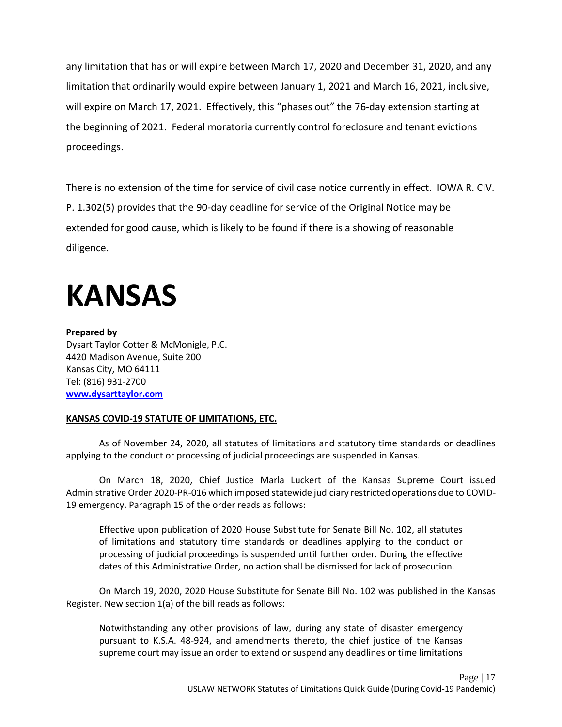any limitation that has or will expire between March 17, 2020 and December 31, 2020, and any limitation that ordinarily would expire between January 1, 2021 and March 16, 2021, inclusive, will expire on March 17, 2021. Effectively, this "phases out" the 76-day extension starting at the beginning of 2021. Federal moratoria currently control foreclosure and tenant evictions proceedings.

There is no extension of the time for service of civil case notice currently in effect. IOWA R. CIV. P. 1.302(5) provides that the 90-day deadline for service of the Original Notice may be extended for good cause, which is likely to be found if there is a showing of reasonable diligence.

## <span id="page-17-0"></span>**KANSAS**

**[www.dysarttaylor.com](http://www.dysarttaylor.com/)**

### **Prepared by** Dysart Taylor Cotter & McMonigle, P.C. 4420 Madison Avenue, Suite 200 Kansas City, MO 64111 Tel: (816) 931-2700

### **KANSAS COVID-19 STATUTE OF LIMITATIONS, ETC.**

As of November 24, 2020, all statutes of limitations and statutory time standards or deadlines applying to the conduct or processing of judicial proceedings are suspended in Kansas.

On March 18, 2020, Chief Justice Marla Luckert of the Kansas Supreme Court issued Administrative Order 2020-PR-016 which imposed statewide judiciary restricted operations due to COVID-19 emergency. Paragraph 15 of the order reads as follows:

Effective upon publication of 2020 House Substitute for Senate Bill No. 102, all statutes of limitations and statutory time standards or deadlines applying to the conduct or processing of judicial proceedings is suspended until further order. During the effective dates of this Administrative Order, no action shall be dismissed for lack of prosecution.

On March 19, 2020, 2020 House Substitute for Senate Bill No. 102 was published in the Kansas Register. New section 1(a) of the bill reads as follows:

Notwithstanding any other provisions of law, during any state of disaster emergency pursuant to K.S.A. 48-924, and amendments thereto, the chief justice of the Kansas supreme court may issue an order to extend or suspend any deadlines or time limitations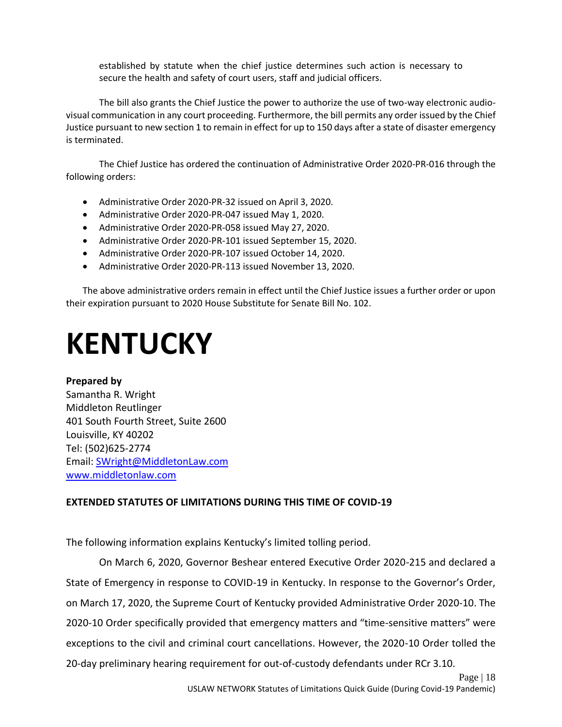established by statute when the chief justice determines such action is necessary to secure the health and safety of court users, staff and judicial officers.

The bill also grants the Chief Justice the power to authorize the use of two-way electronic audiovisual communication in any court proceeding. Furthermore, the bill permits any order issued by the Chief Justice pursuant to new section 1 to remain in effect for up to 150 days after a state of disaster emergency is terminated.

The Chief Justice has ordered the continuation of Administrative Order 2020-PR-016 through the following orders:

- Administrative Order 2020-PR-32 issued on April 3, 2020.
- Administrative Order 2020-PR-047 issued May 1, 2020.
- Administrative Order 2020-PR-058 issued May 27, 2020.
- Administrative Order 2020-PR-101 issued September 15, 2020.
- Administrative Order 2020-PR-107 issued October 14, 2020.
- Administrative Order 2020-PR-113 issued November 13, 2020.

The above administrative orders remain in effect until the Chief Justice issues a further order or upon their expiration pursuant to 2020 House Substitute for Senate Bill No. 102.

## <span id="page-18-0"></span>**KENTUCKY**

**Prepared by**  Samantha R. Wright Middleton Reutlinger 401 South Fourth Street, Suite 2600 Louisville, KY 40202 Tel: (502)625-2774 Email: [SWright@MiddletonLaw.com](mailto:SWright@MiddletonLaw.com)  [www.middletonlaw.com](http://www.middletonlaw.com/)

### **EXTENDED STATUTES OF LIMITATIONS DURING THIS TIME OF COVID-19**

The following information explains Kentucky's limited tolling period.

On March 6, 2020, Governor Beshear entered Executive Order 2020-215 and declared a State of Emergency in response to COVID-19 in Kentucky. In response to the Governor's Order, on March 17, 2020, the Supreme Court of Kentucky provided Administrative Order 2020-10. The 2020-10 Order specifically provided that emergency matters and "time-sensitive matters" were exceptions to the civil and criminal court cancellations. However, the 2020-10 Order tolled the 20-day preliminary hearing requirement for out-of-custody defendants under RCr 3.10.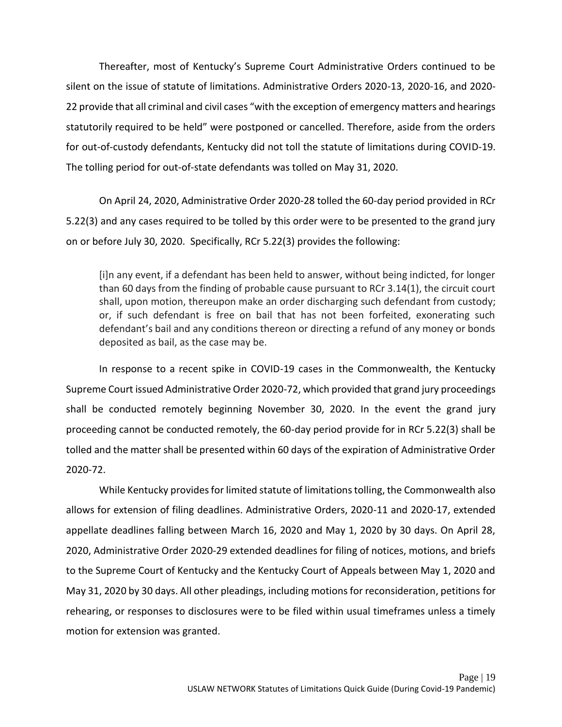Thereafter, most of Kentucky's Supreme Court Administrative Orders continued to be silent on the issue of statute of limitations. Administrative Orders 2020-13, 2020-16, and 2020- 22 provide that all criminal and civil cases "with the exception of emergency matters and hearings statutorily required to be held" were postponed or cancelled. Therefore, aside from the orders for out-of-custody defendants, Kentucky did not toll the statute of limitations during COVID-19. The tolling period for out-of-state defendants was tolled on May 31, 2020.

On April 24, 2020, Administrative Order 2020-28 tolled the 60-day period provided in RCr 5.22(3) and any cases required to be tolled by this order were to be presented to the grand jury on or before July 30, 2020. Specifically, RCr 5.22(3) provides the following:

[i]n any event, if a defendant has been held to answer, without being indicted, for longer than 60 days from the finding of probable cause pursuant to RCr 3.14(1), the circuit court shall, upon motion, thereupon make an order discharging such defendant from custody; or, if such defendant is free on bail that has not been forfeited, exonerating such defendant's bail and any conditions thereon or directing a refund of any money or bonds deposited as bail, as the case may be.

In response to a recent spike in COVID-19 cases in the Commonwealth, the Kentucky Supreme Court issued Administrative Order 2020-72, which provided that grand jury proceedings shall be conducted remotely beginning November 30, 2020. In the event the grand jury proceeding cannot be conducted remotely, the 60-day period provide for in RCr 5.22(3) shall be tolled and the matter shall be presented within 60 days of the expiration of Administrative Order 2020-72.

While Kentucky provides for limited statute of limitations tolling, the Commonwealth also allows for extension of filing deadlines. Administrative Orders, 2020-11 and 2020-17, extended appellate deadlines falling between March 16, 2020 and May 1, 2020 by 30 days. On April 28, 2020, Administrative Order 2020-29 extended deadlines for filing of notices, motions, and briefs to the Supreme Court of Kentucky and the Kentucky Court of Appeals between May 1, 2020 and May 31, 2020 by 30 days. All other pleadings, including motions for reconsideration, petitions for rehearing, or responses to disclosures were to be filed within usual timeframes unless a timely motion for extension was granted.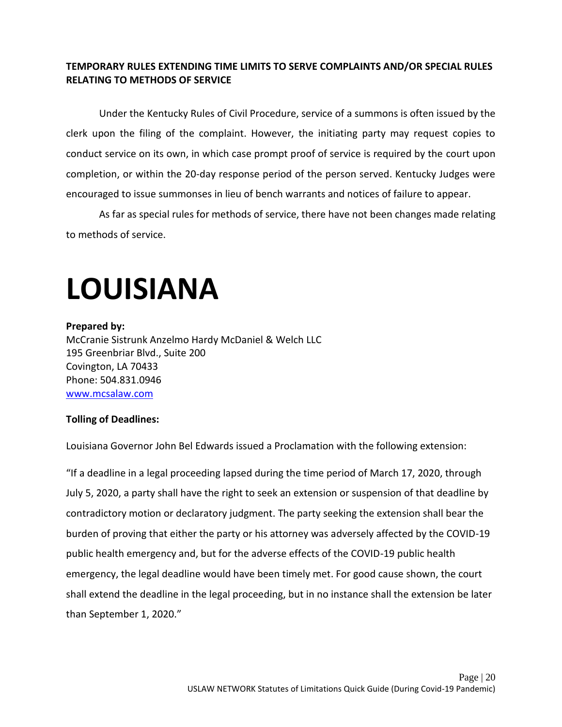### **TEMPORARY RULES EXTENDING TIME LIMITS TO SERVE COMPLAINTS AND/OR SPECIAL RULES RELATING TO METHODS OF SERVICE**

Under the Kentucky Rules of Civil Procedure, service of a summons is often issued by the clerk upon the filing of the complaint. However, the initiating party may request copies to conduct service on its own, in which case prompt proof of service is required by the court upon completion, or within the 20-day response period of the person served. Kentucky Judges were encouraged to issue summonses in lieu of bench warrants and notices of failure to appear.

As far as special rules for methods of service, there have not been changes made relating to methods of service.

# <span id="page-20-0"></span>**LOUISIANA**

### **Prepared by:**

McCranie Sistrunk Anzelmo Hardy McDaniel & Welch LLC 195 Greenbriar Blvd., Suite 200 Covington, LA 70433 Phone: 504.831.0946 [www.mcsalaw.com](http://www.mcsalaw.com/)

### **Tolling of Deadlines:**

Louisiana Governor John Bel Edwards issued a Proclamation with the following extension:

"If a deadline in a legal proceeding lapsed during the time period of March 17, 2020, through July 5, 2020, a party shall have the right to seek an extension or suspension of that deadline by contradictory motion or declaratory judgment. The party seeking the extension shall bear the burden of proving that either the party or his attorney was adversely affected by the COVID-19 public health emergency and, but for the adverse effects of the COVID-19 public health emergency, the legal deadline would have been timely met. For good cause shown, the court shall extend the deadline in the legal proceeding, but in no instance shall the extension be later than September 1, 2020."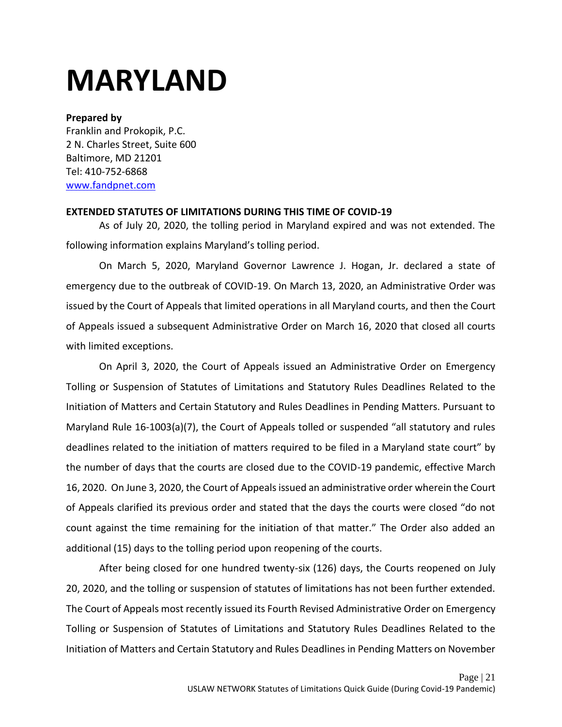## <span id="page-21-0"></span>**MARYLAND**

### **Prepared by**

Franklin and Prokopik, P.C. 2 N. Charles Street, Suite 600 Baltimore, MD 21201 Tel: 410-752-6868 [www.fandpnet.com](http://www.fandpnet.com/)

### **EXTENDED STATUTES OF LIMITATIONS DURING THIS TIME OF COVID-19**

As of July 20, 2020, the tolling period in Maryland expired and was not extended. The following information explains Maryland's tolling period.

On March 5, 2020, Maryland Governor Lawrence J. Hogan, Jr. declared a state of emergency due to the outbreak of COVID-19. On March 13, 2020, an Administrative Order was issued by the Court of Appeals that limited operations in all Maryland courts, and then the Court of Appeals issued a subsequent Administrative Order on March 16, 2020 that closed all courts with limited exceptions.

On April 3, 2020, the Court of Appeals issued an Administrative Order on Emergency Tolling or Suspension of Statutes of Limitations and Statutory Rules Deadlines Related to the Initiation of Matters and Certain Statutory and Rules Deadlines in Pending Matters. Pursuant to Maryland Rule 16-1003(a)(7), the Court of Appeals tolled or suspended "all statutory and rules deadlines related to the initiation of matters required to be filed in a Maryland state court" by the number of days that the courts are closed due to the COVID-19 pandemic, effective March 16, 2020. On June 3, 2020, the Court of Appeals issued an administrative order wherein the Court of Appeals clarified its previous order and stated that the days the courts were closed "do not count against the time remaining for the initiation of that matter." The Order also added an additional (15) days to the tolling period upon reopening of the courts.

After being closed for one hundred twenty-six (126) days, the Courts reopened on July 20, 2020, and the tolling or suspension of statutes of limitations has not been further extended. The Court of Appeals most recently issued its Fourth Revised Administrative Order on Emergency Tolling or Suspension of Statutes of Limitations and Statutory Rules Deadlines Related to the Initiation of Matters and Certain Statutory and Rules Deadlines in Pending Matters on November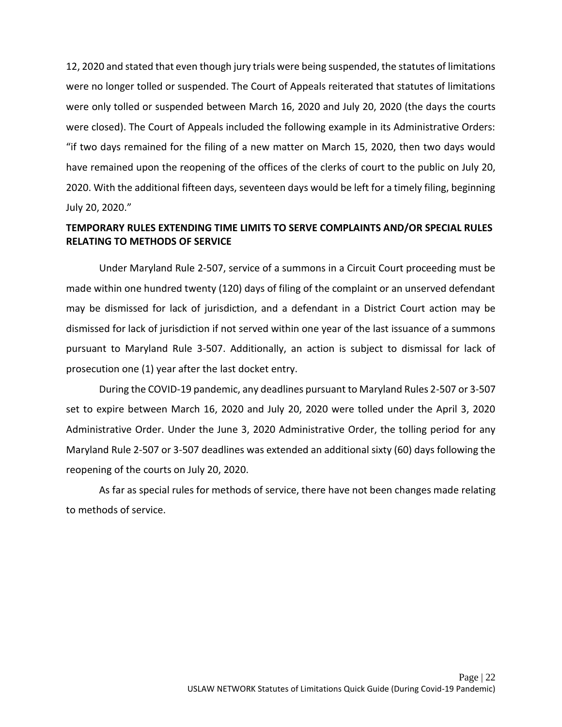12, 2020 and stated that even though jury trials were being suspended, the statutes of limitations were no longer tolled or suspended. The Court of Appeals reiterated that statutes of limitations were only tolled or suspended between March 16, 2020 and July 20, 2020 (the days the courts were closed). The Court of Appeals included the following example in its Administrative Orders: "if two days remained for the filing of a new matter on March 15, 2020, then two days would have remained upon the reopening of the offices of the clerks of court to the public on July 20, 2020. With the additional fifteen days, seventeen days would be left for a timely filing, beginning July 20, 2020."

## **TEMPORARY RULES EXTENDING TIME LIMITS TO SERVE COMPLAINTS AND/OR SPECIAL RULES RELATING TO METHODS OF SERVICE**

Under Maryland Rule 2-507, service of a summons in a Circuit Court proceeding must be made within one hundred twenty (120) days of filing of the complaint or an unserved defendant may be dismissed for lack of jurisdiction, and a defendant in a District Court action may be dismissed for lack of jurisdiction if not served within one year of the last issuance of a summons pursuant to Maryland Rule 3-507. Additionally, an action is subject to dismissal for lack of prosecution one (1) year after the last docket entry.

During the COVID-19 pandemic, any deadlines pursuant to Maryland Rules 2-507 or 3-507 set to expire between March 16, 2020 and July 20, 2020 were tolled under the April 3, 2020 Administrative Order. Under the June 3, 2020 Administrative Order, the tolling period for any Maryland Rule 2-507 or 3-507 deadlines was extended an additional sixty (60) days following the reopening of the courts on July 20, 2020.

As far as special rules for methods of service, there have not been changes made relating to methods of service.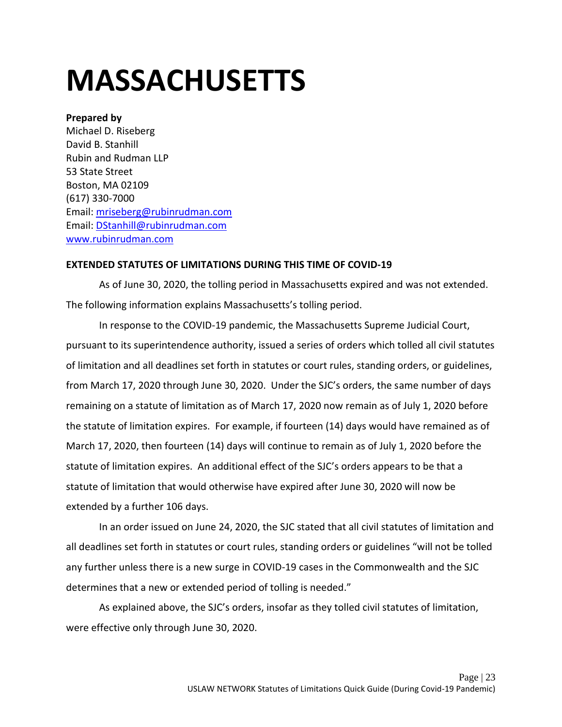# <span id="page-23-0"></span>**MASSACHUSETTS**

#### **Prepared by**

Michael D. Riseberg David B. Stanhill Rubin and Rudman LLP 53 State Street Boston, MA 02109 (617) 330-7000 Email: [mriseberg@rubinrudman.com](mailto:mriseberg@rubinrudman.com) Email: [DStanhill@rubinrudman.com](mailto:DStanhill@rubinrudman.com) [www.rubinrudman.com](http://www.rubinrudman.com/)

#### **EXTENDED STATUTES OF LIMITATIONS DURING THIS TIME OF COVID-19**

As of June 30, 2020, the tolling period in Massachusetts expired and was not extended. The following information explains Massachusetts's tolling period.

In response to the COVID-19 pandemic, the Massachusetts Supreme Judicial Court, pursuant to its superintendence authority, issued a series of orders which tolled all civil statutes of limitation and all deadlines set forth in statutes or court rules, standing orders, or guidelines, from March 17, 2020 through June 30, 2020. Under the SJC's orders, the same number of days remaining on a statute of limitation as of March 17, 2020 now remain as of July 1, 2020 before the statute of limitation expires. For example, if fourteen (14) days would have remained as of March 17, 2020, then fourteen (14) days will continue to remain as of July 1, 2020 before the statute of limitation expires. An additional effect of the SJC's orders appears to be that a statute of limitation that would otherwise have expired after June 30, 2020 will now be extended by a further 106 days.

In an order issued on June 24, 2020, the SJC stated that all civil statutes of limitation and all deadlines set forth in statutes or court rules, standing orders or guidelines "will not be tolled any further unless there is a new surge in COVID-19 cases in the Commonwealth and the SJC determines that a new or extended period of tolling is needed."

As explained above, the SJC's orders, insofar as they tolled civil statutes of limitation, were effective only through June 30, 2020.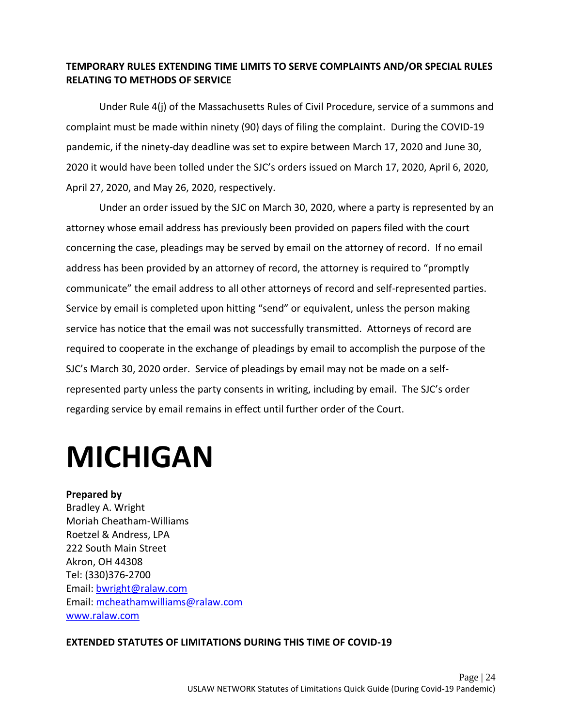### **TEMPORARY RULES EXTENDING TIME LIMITS TO SERVE COMPLAINTS AND/OR SPECIAL RULES RELATING TO METHODS OF SERVICE**

Under Rule 4(j) of the Massachusetts Rules of Civil Procedure, service of a summons and complaint must be made within ninety (90) days of filing the complaint. During the COVID-19 pandemic, if the ninety-day deadline was set to expire between March 17, 2020 and June 30, 2020 it would have been tolled under the SJC's orders issued on March 17, 2020, April 6, 2020, April 27, 2020, and May 26, 2020, respectively.

Under an order issued by the SJC on March 30, 2020, where a party is represented by an attorney whose email address has previously been provided on papers filed with the court concerning the case, pleadings may be served by email on the attorney of record. If no email address has been provided by an attorney of record, the attorney is required to "promptly communicate" the email address to all other attorneys of record and self-represented parties. Service by email is completed upon hitting "send" or equivalent, unless the person making service has notice that the email was not successfully transmitted. Attorneys of record are required to cooperate in the exchange of pleadings by email to accomplish the purpose of the SJC's March 30, 2020 order. Service of pleadings by email may not be made on a selfrepresented party unless the party consents in writing, including by email. The SJC's order regarding service by email remains in effect until further order of the Court.

## <span id="page-24-0"></span>**MICHIGAN**

## **Prepared by**  Bradley A. Wright Moriah Cheatham-Williams Roetzel & Andress, LPA 222 South Main Street Akron, OH 44308 Tel: (330)376-2700 Email: [bwright@ralaw.com](mailto:bwright@ralaw.com)  Email: [mcheathamwilliams@ralaw.com](mailto:mcheathamwilliams@ralaw.com) [www.ralaw.com](http://www.ralaw.com/)

### **EXTENDED STATUTES OF LIMITATIONS DURING THIS TIME OF COVID-19**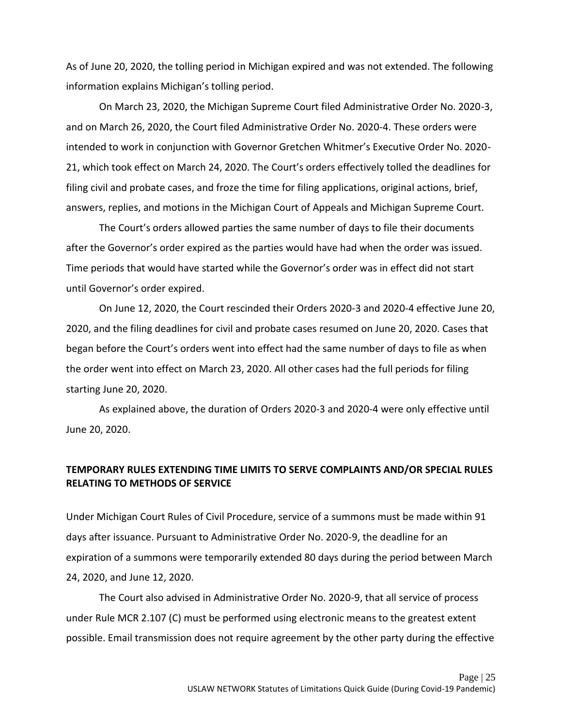As of June 20, 2020, the tolling period in Michigan expired and was not extended. The following information explains Michigan's tolling period.

On March 23, 2020, the Michigan Supreme Court filed Administrative Order No. 2020-3, and on March 26, 2020, the Court filed Administrative Order No. 2020-4. These orders were intended to work in conjunction with Governor Gretchen Whitmer's Executive Order No. 2020- 21, which took effect on March 24, 2020. The Court's orders effectively tolled the deadlines for filing civil and probate cases, and froze the time for filing applications, original actions, brief, answers, replies, and motions in the Michigan Court of Appeals and Michigan Supreme Court.

The Court's orders allowed parties the same number of days to file their documents after the Governor's order expired as the parties would have had when the order was issued. Time periods that would have started while the Governor's order was in effect did not start until Governor's order expired.

On June 12, 2020, the Court rescinded their Orders 2020-3 and 2020-4 effective June 20, 2020, and the filing deadlines for civil and probate cases resumed on June 20, 2020. Cases that began before the Court's orders went into effect had the same number of days to file as when the order went into effect on March 23, 2020. All other cases had the full periods for filing starting June 20, 2020.

As explained above, the duration of Orders 2020-3 and 2020-4 were only effective until June 20, 2020.

### **TEMPORARY RULES EXTENDING TIME LIMITS TO SERVE COMPLAINTS AND/OR SPECIAL RULES RELATING TO METHODS OF SERVICE**

Under Michigan Court Rules of Civil Procedure, service of a summons must be made within 91 days after issuance. Pursuant to Administrative Order No. 2020-9, the deadline for an expiration of a summons were temporarily extended 80 days during the period between March 24, 2020, and June 12, 2020.

The Court also advised in Administrative Order No. 2020-9, that all service of process under Rule MCR 2.107 (C) must be performed using electronic means to the greatest extent possible. Email transmission does not require agreement by the other party during the effective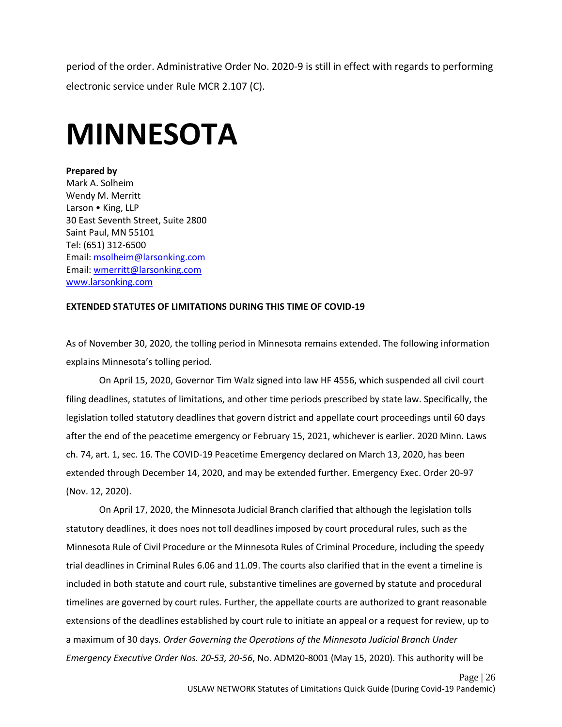period of the order. Administrative Order No. 2020-9 is still in effect with regards to performing electronic service under Rule MCR 2.107 (C).

## <span id="page-26-0"></span>**MINNESOTA**

#### **Prepared by**

Mark A. Solheim Wendy M. Merritt Larson • King, LLP 30 East Seventh Street, Suite 2800 Saint Paul, MN 55101 Tel: (651) 312-6500 Email: [msolheim@larsonking.com](mailto:msolheim@larsonking.com) Email: [wmerritt@larsonking.com](mailto:wmerritt@larsonking.com) [www.larsonking.com](http://www.larsonking.com/)

#### **EXTENDED STATUTES OF LIMITATIONS DURING THIS TIME OF COVID-19**

As of November 30, 2020, the tolling period in Minnesota remains extended. The following information explains Minnesota's tolling period.

On April 15, 2020, Governor Tim Walz signed into law HF 4556, which suspended all civil court filing deadlines, statutes of limitations, and other time periods prescribed by state law. Specifically, the legislation tolled statutory deadlines that govern district and appellate court proceedings until 60 days after the end of the peacetime emergency or February 15, 2021, whichever is earlier. 2020 Minn. Laws ch. 74, art. 1, sec. 16. The COVID-19 Peacetime Emergency declared on March 13, 2020, has been extended through December 14, 2020, and may be extended further. Emergency Exec. Order 20-97 (Nov. 12, 2020).

On April 17, 2020, the Minnesota Judicial Branch clarified that although the legislation tolls statutory deadlines, it does noes not toll deadlines imposed by court procedural rules, such as the Minnesota Rule of Civil Procedure or the Minnesota Rules of Criminal Procedure, including the speedy trial deadlines in Criminal Rules 6.06 and 11.09. The courts also clarified that in the event a timeline is included in both statute and court rule, substantive timelines are governed by statute and procedural timelines are governed by court rules. Further, the appellate courts are authorized to grant reasonable extensions of the deadlines established by court rule to initiate an appeal or a request for review, up to a maximum of 30 days. *Order Governing the Operations of the Minnesota Judicial Branch Under Emergency Executive Order Nos. 20-53, 20-56*, No. ADM20-8001 (May 15, 2020). This authority will be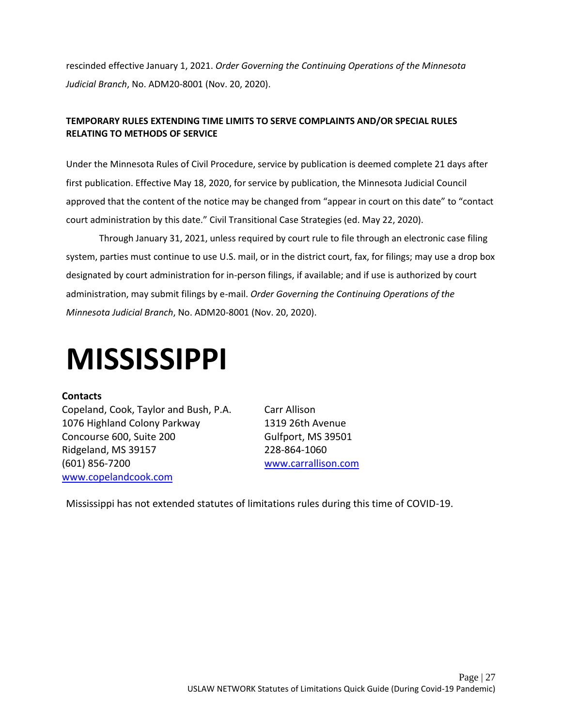rescinded effective January 1, 2021. *Order Governing the Continuing Operations of the Minnesota Judicial Branch*, No. ADM20-8001 (Nov. 20, 2020).

### **TEMPORARY RULES EXTENDING TIME LIMITS TO SERVE COMPLAINTS AND/OR SPECIAL RULES RELATING TO METHODS OF SERVICE**

Under the Minnesota Rules of Civil Procedure, service by publication is deemed complete 21 days after first publication. Effective May 18, 2020, for service by publication, the Minnesota Judicial Council approved that the content of the notice may be changed from "appear in court on this date" to "contact court administration by this date." Civil Transitional Case Strategies (ed. May 22, 2020).

Through January 31, 2021, unless required by court rule to file through an electronic case filing system, parties must continue to use U.S. mail, or in the district court, fax, for filings; may use a drop box designated by court administration for in-person filings, if available; and if use is authorized by court administration, may submit filings by e-mail. *Order Governing the Continuing Operations of the Minnesota Judicial Branch*, No. ADM20-8001 (Nov. 20, 2020).

## <span id="page-27-0"></span>**MISSISSIPPI**

### **Contacts**

Copeland, Cook, Taylor and Bush, P.A. Carr Allison 1076 Highland Colony Parkway 1319 26th Avenue Concourse 600, Suite 200 Gulfport, MS 39501 Ridgeland, MS 39157 228-864-1060 (601) 856-7200 [www.carrallison.com](https://www.carrallison.com/) [www.copelandcook.com](http://www.copelandcook.com/)

Mississippi has not extended statutes of limitations rules during this time of COVID-19.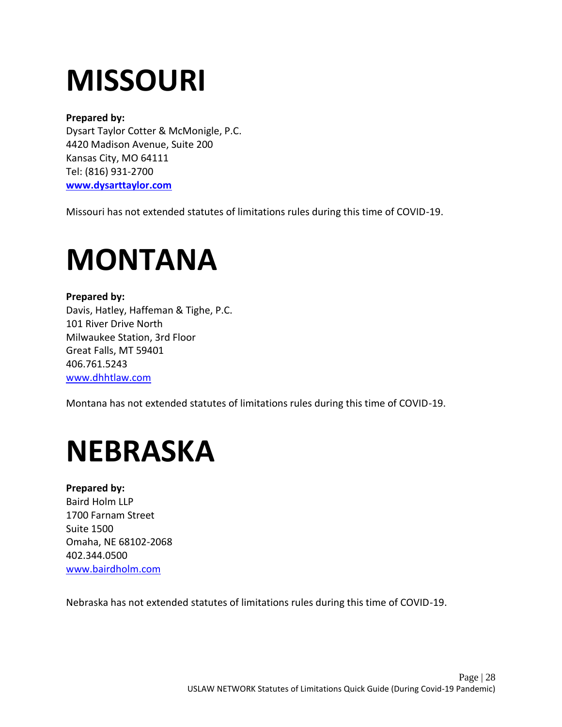# <span id="page-28-0"></span>**MISSOURI**

### **Prepared by:**

Dysart Taylor Cotter & McMonigle, P.C. 4420 Madison Avenue, Suite 200 Kansas City, MO 64111 Tel: (816) 931-2700 **[www.dysarttaylor.com](http://www.dysarttaylor.com/)**

Missouri has not extended statutes of limitations rules during this time of COVID-19.

## <span id="page-28-1"></span>**MONTANA**

**Prepared by:** Davis, Hatley, Haffeman & Tighe, P.C. 101 River Drive North Milwaukee Station, 3rd Floor Great Falls, MT 59401 406.761.5243 [www.dhhtlaw.com](http://www.dhhtlaw.com/)

Montana has not extended statutes of limitations rules during this time of COVID-19.

## <span id="page-28-2"></span>**NEBRASKA**

## **Prepared by:**

Baird Holm LLP 1700 Farnam Street Suite 1500 Omaha, NE 68102-2068 402.344.0500 [www.bairdholm.com](http://www.bairdholm.com/)

Nebraska has not extended statutes of limitations rules during this time of COVID-19.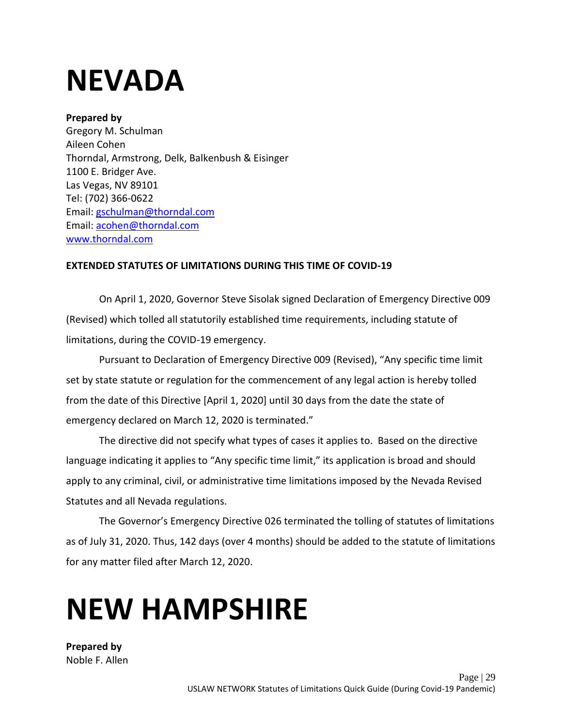## <span id="page-29-0"></span>**NEVADA**

### **Prepared by**

Gregory M. Schulman Aileen Cohen Thorndal, Armstrong, Delk, Balkenbush & Eisinger 1100 E. Bridger Ave. Las Vegas, NV 89101 Tel: (702) 366-0622 Email: [gschulman@thorndal.com](mailto:gschulman@thorndal.com)  Email: [acohen@thorndal.com](mailto:acohen@thorndal.com) [www.thorndal.com](http://www.thorndal.com/)

### **EXTENDED STATUTES OF LIMITATIONS DURING THIS TIME OF COVID-19**

On April 1, 2020, Governor Steve Sisolak signed Declaration of Emergency Directive 009 (Revised) which tolled all statutorily established time requirements, including statute of limitations, during the COVID-19 emergency.

Pursuant to Declaration of Emergency Directive 009 (Revised), "Any specific time limit set by state statute or regulation for the commencement of any legal action is hereby tolled from the date of this Directive [April 1, 2020] until 30 days from the date the state of emergency declared on March 12, 2020 is terminated."

The directive did not specify what types of cases it applies to. Based on the directive language indicating it applies to "Any specific time limit," its application is broad and should apply to any criminal, civil, or administrative time limitations imposed by the Nevada Revised Statutes and all Nevada regulations.

The Governor's Emergency Directive 026 terminated the tolling of statutes of limitations as of July 31, 2020. Thus, 142 days (over 4 months) should be added to the statute of limitations for any matter filed after March 12, 2020.

# <span id="page-29-1"></span>**NEW HAMPSHIRE**

**Prepared by**  Noble F. Allen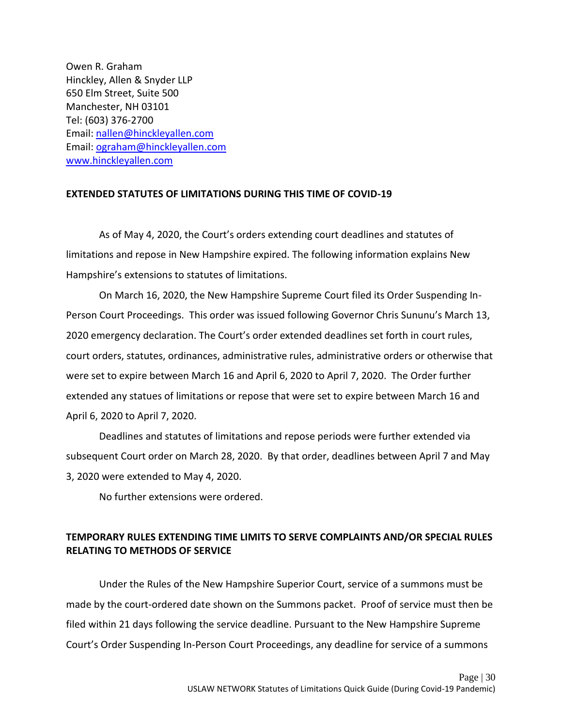Owen R. Graham Hinckley, Allen & Snyder LLP 650 Elm Street, Suite 500 Manchester, NH 03101 Tel: (603) 376-2700 Email: [nallen@](mailto:nallen)hinckleyallen.com Email: [ograham@hinckleyallen.com](mailto:ograham@hinckleyallen.com) [www.hinckleyallen.com](http://www.hinckleyallen.com/)

#### **EXTENDED STATUTES OF LIMITATIONS DURING THIS TIME OF COVID-19**

As of May 4, 2020, the Court's orders extending court deadlines and statutes of limitations and repose in New Hampshire expired. The following information explains New Hampshire's extensions to statutes of limitations.

On March 16, 2020, the New Hampshire Supreme Court filed its Order Suspending In-Person Court Proceedings. This order was issued following Governor Chris Sununu's March 13, 2020 emergency declaration. The Court's order extended deadlines set forth in court rules, court orders, statutes, ordinances, administrative rules, administrative orders or otherwise that were set to expire between March 16 and April 6, 2020 to April 7, 2020. The Order further extended any statues of limitations or repose that were set to expire between March 16 and April 6, 2020 to April 7, 2020.

Deadlines and statutes of limitations and repose periods were further extended via subsequent Court order on March 28, 2020. By that order, deadlines between April 7 and May 3, 2020 were extended to May 4, 2020.

No further extensions were ordered.

## **TEMPORARY RULES EXTENDING TIME LIMITS TO SERVE COMPLAINTS AND/OR SPECIAL RULES RELATING TO METHODS OF SERVICE**

Under the Rules of the New Hampshire Superior Court, service of a summons must be made by the court-ordered date shown on the Summons packet. Proof of service must then be filed within 21 days following the service deadline. Pursuant to the New Hampshire Supreme Court's Order Suspending In-Person Court Proceedings, any deadline for service of a summons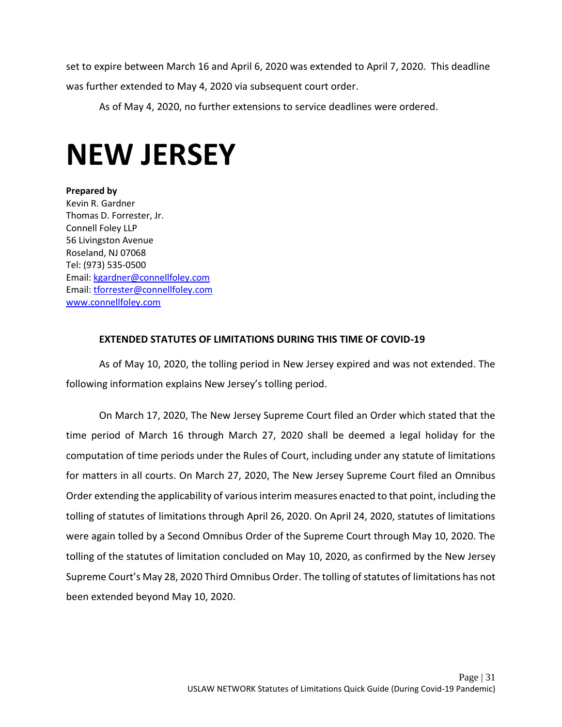set to expire between March 16 and April 6, 2020 was extended to April 7, 2020. This deadline was further extended to May 4, 2020 via subsequent court order.

As of May 4, 2020, no further extensions to service deadlines were ordered.

## <span id="page-31-0"></span>**NEW JERSEY**

**Prepared by**  Kevin R. Gardner Thomas D. Forrester, Jr. Connell Foley LLP 56 Livingston Avenue Roseland, NJ 07068 Tel: (973) 535-0500 Email: [kgardner@connellfoley.com](mailto:kgardner@connellfoley.com) Email: [tforrester@connellfoley.com](mailto:tforrester@connellfoley.com) [www.connellfoley.com](http://www.connellfoley.com/)

### **EXTENDED STATUTES OF LIMITATIONS DURING THIS TIME OF COVID-19**

As of May 10, 2020, the tolling period in New Jersey expired and was not extended. The following information explains New Jersey's tolling period.

On March 17, 2020, The New Jersey Supreme Court filed an Order which stated that the time period of March 16 through March 27, 2020 shall be deemed a legal holiday for the computation of time periods under the Rules of Court, including under any statute of limitations for matters in all courts. On March 27, 2020, The New Jersey Supreme Court filed an Omnibus Order extending the applicability of various interim measures enacted to that point, including the tolling of statutes of limitations through April 26, 2020. On April 24, 2020, statutes of limitations were again tolled by a Second Omnibus Order of the Supreme Court through May 10, 2020. The tolling of the statutes of limitation concluded on May 10, 2020, as confirmed by the New Jersey Supreme Court's May 28, 2020 Third Omnibus Order. The tolling of statutes of limitations has not been extended beyond May 10, 2020.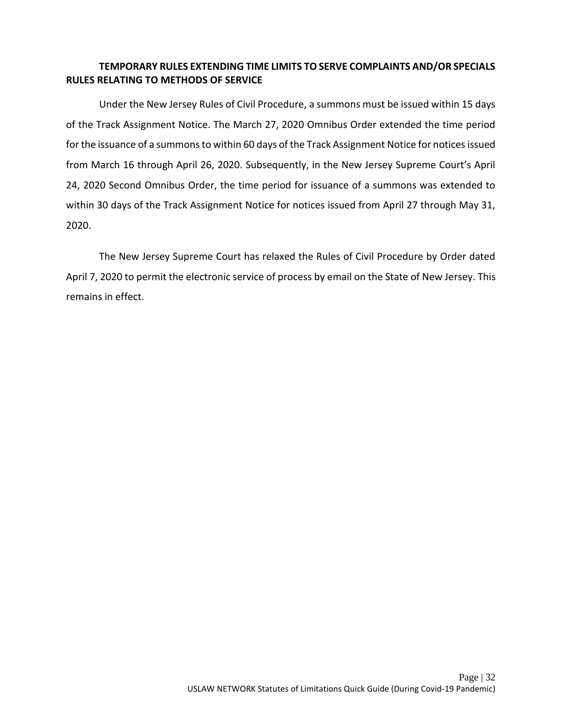### **TEMPORARY RULES EXTENDING TIME LIMITS TO SERVE COMPLAINTS AND/OR SPECIALS RULES RELATING TO METHODS OF SERVICE**

Under the New Jersey Rules of Civil Procedure, a summons must be issued within 15 days of the Track Assignment Notice. The March 27, 2020 Omnibus Order extended the time period for the issuance of a summons to within 60 days of the Track Assignment Notice for notices issued from March 16 through April 26, 2020. Subsequently, in the New Jersey Supreme Court's April 24, 2020 Second Omnibus Order, the time period for issuance of a summons was extended to within 30 days of the Track Assignment Notice for notices issued from April 27 through May 31, 2020.

The New Jersey Supreme Court has relaxed the Rules of Civil Procedure by Order dated April 7, 2020 to permit the electronic service of process by email on the State of New Jersey. This remains in effect.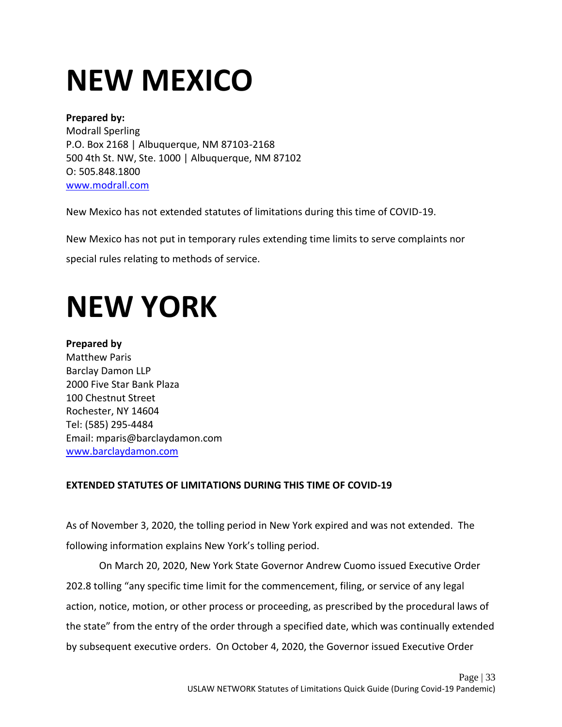# <span id="page-33-0"></span>**NEW MEXICO**

## **Prepared by:** Modrall Sperling P.O. Box 2168 | Albuquerque, NM 87103-2168 500 4th St. NW, Ste. 1000 | Albuquerque, NM 87102 O: 505.848.1800 [www.modrall.com](http://www.modrall.com/)

New Mexico has not extended statutes of limitations during this time of COVID-19.

New Mexico has not put in temporary rules extending time limits to serve complaints nor

special rules relating to methods of service.

## <span id="page-33-1"></span>**NEW YORK**

## **Prepared by**  Matthew Paris Barclay Damon LLP 2000 Five Star Bank Plaza 100 Chestnut Street Rochester, NY 14604 Tel: (585) 295-4484 Email: mparis@barclaydamon.com [www.barclaydamon.com](https://www.barclaydamon.com/)

## **EXTENDED STATUTES OF LIMITATIONS DURING THIS TIME OF COVID-19**

As of November 3, 2020, the tolling period in New York expired and was not extended. The following information explains New York's tolling period.

On March 20, 2020, New York State Governor Andrew Cuomo issued Executive Order 202.8 tolling "any specific time limit for the commencement, filing, or service of any legal action, notice, motion, or other process or proceeding, as prescribed by the procedural laws of the state" from the entry of the order through a specified date, which was continually extended by subsequent executive orders. On October 4, 2020, the Governor issued Executive Order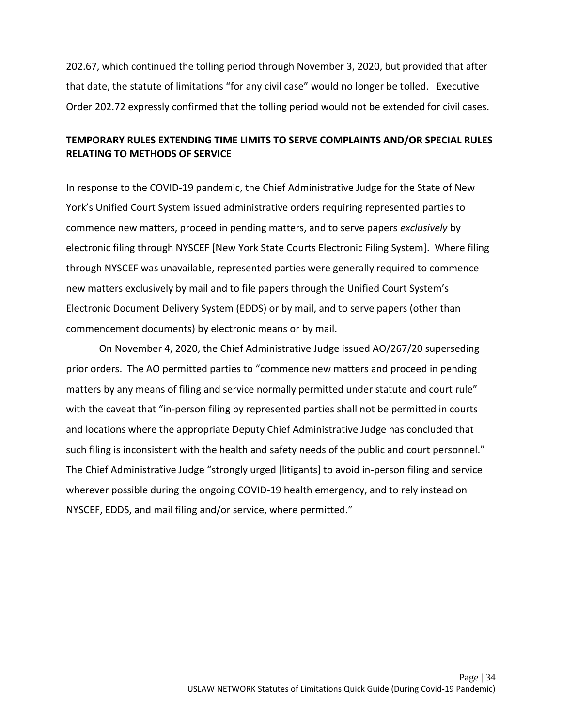202.67, which continued the tolling period through November 3, 2020, but provided that after that date, the statute of limitations "for any civil case" would no longer be tolled. Executive Order 202.72 expressly confirmed that the tolling period would not be extended for civil cases.

## **TEMPORARY RULES EXTENDING TIME LIMITS TO SERVE COMPLAINTS AND/OR SPECIAL RULES RELATING TO METHODS OF SERVICE**

In response to the COVID-19 pandemic, the Chief Administrative Judge for the State of New York's Unified Court System issued administrative orders requiring represented parties to commence new matters, proceed in pending matters, and to serve papers *exclusively* by electronic filing through NYSCEF [New York State Courts Electronic Filing System]. Where filing through NYSCEF was unavailable, represented parties were generally required to commence new matters exclusively by mail and to file papers through the Unified Court System's Electronic Document Delivery System (EDDS) or by mail, and to serve papers (other than commencement documents) by electronic means or by mail.

On November 4, 2020, the Chief Administrative Judge issued AO/267/20 superseding prior orders. The AO permitted parties to "commence new matters and proceed in pending matters by any means of filing and service normally permitted under statute and court rule" with the caveat that "in-person filing by represented parties shall not be permitted in courts and locations where the appropriate Deputy Chief Administrative Judge has concluded that such filing is inconsistent with the health and safety needs of the public and court personnel." The Chief Administrative Judge "strongly urged [litigants] to avoid in-person filing and service wherever possible during the ongoing COVID-19 health emergency, and to rely instead on NYSCEF, EDDS, and mail filing and/or service, where permitted."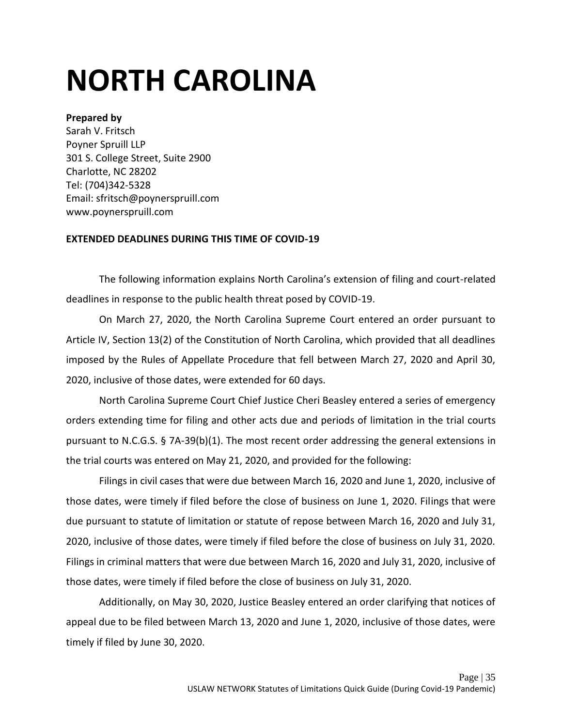# <span id="page-35-0"></span>**NORTH CAROLINA**

### **Prepared by**

Sarah V. Fritsch Poyner Spruill LLP 301 S. College Street, Suite 2900 Charlotte, NC 28202 Tel: (704)342-5328 Email: sfritsch@poynerspruill.com www.poynerspruill.com

### **EXTENDED DEADLINES DURING THIS TIME OF COVID-19**

The following information explains North Carolina's extension of filing and court-related deadlines in response to the public health threat posed by COVID-19.

On March 27, 2020, the North Carolina Supreme Court entered an order pursuant to Article IV, Section 13(2) of the Constitution of North Carolina, which provided that all deadlines imposed by the Rules of Appellate Procedure that fell between March 27, 2020 and April 30, 2020, inclusive of those dates, were extended for 60 days.

North Carolina Supreme Court Chief Justice Cheri Beasley entered a series of emergency orders extending time for filing and other acts due and periods of limitation in the trial courts pursuant to N.C.G.S. § 7A-39(b)(1). The most recent order addressing the general extensions in the trial courts was entered on May 21, 2020, and provided for the following:

Filings in civil cases that were due between March 16, 2020 and June 1, 2020, inclusive of those dates, were timely if filed before the close of business on June 1, 2020. Filings that were due pursuant to statute of limitation or statute of repose between March 16, 2020 and July 31, 2020, inclusive of those dates, were timely if filed before the close of business on July 31, 2020. Filings in criminal matters that were due between March 16, 2020 and July 31, 2020, inclusive of those dates, were timely if filed before the close of business on July 31, 2020.

Additionally, on May 30, 2020, Justice Beasley entered an order clarifying that notices of appeal due to be filed between March 13, 2020 and June 1, 2020, inclusive of those dates, were timely if filed by June 30, 2020.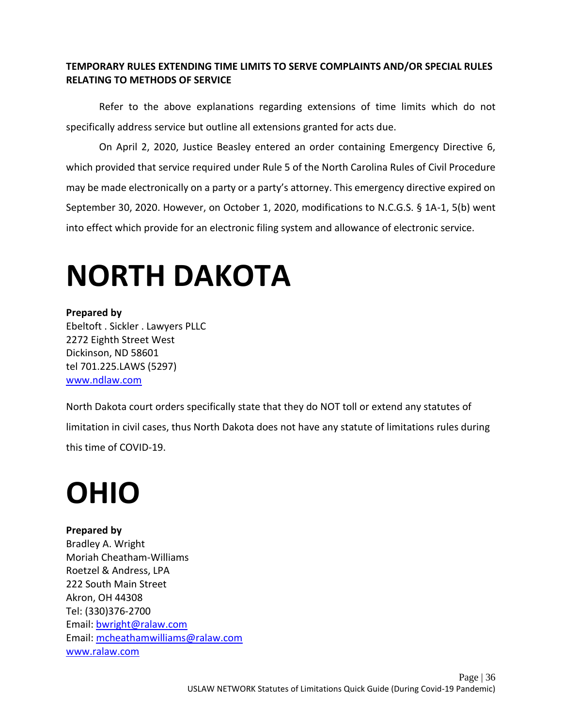### **TEMPORARY RULES EXTENDING TIME LIMITS TO SERVE COMPLAINTS AND/OR SPECIAL RULES RELATING TO METHODS OF SERVICE**

Refer to the above explanations regarding extensions of time limits which do not specifically address service but outline all extensions granted for acts due.

On April 2, 2020, Justice Beasley entered an order containing Emergency Directive 6, which provided that service required under Rule 5 of the North Carolina Rules of Civil Procedure may be made electronically on a party or a party's attorney. This emergency directive expired on September 30, 2020. However, on October 1, 2020, modifications to N.C.G.S. § 1A-1, 5(b) went into effect which provide for an electronic filing system and allowance of electronic service.

# <span id="page-36-0"></span>**NORTH DAKOTA**

### **Prepared by**

Ebeltoft . Sickler . Lawyers PLLC 2272 Eighth Street West Dickinson, ND 58601 tel 701.225.LAWS (5297) [www.ndlaw.com](http://www.ndlaw.com/)

North Dakota court orders specifically state that they do NOT toll or extend any statutes of limitation in civil cases, thus North Dakota does not have any statute of limitations rules during this time of COVID-19.

# <span id="page-36-1"></span>**OHIO**

### **Prepared by**

Bradley A. Wright Moriah Cheatham-Williams Roetzel & Andress, LPA 222 South Main Street Akron, OH 44308 Tel: (330)376-2700 Email: [bwright@ralaw.com](mailto:bwright@ralaw.com)  Email: [mcheathamwilliams@ralaw.com](mailto:mcheathamwilliams@ralaw.com) [www.ralaw.com](http://www.ralaw.com/)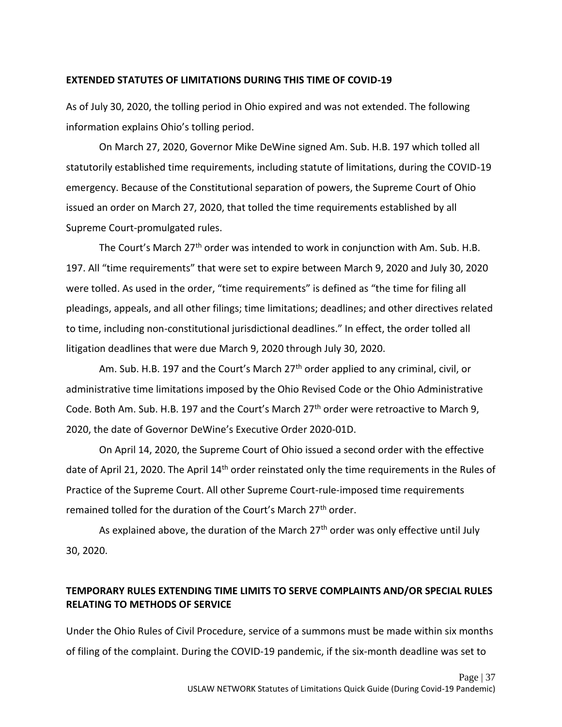#### **EXTENDED STATUTES OF LIMITATIONS DURING THIS TIME OF COVID-19**

As of July 30, 2020, the tolling period in Ohio expired and was not extended. The following information explains Ohio's tolling period.

On March 27, 2020, Governor Mike DeWine signed Am. Sub. H.B. 197 which tolled all statutorily established time requirements, including statute of limitations, during the COVID-19 emergency. Because of the Constitutional separation of powers, the Supreme Court of Ohio issued an order on March 27, 2020, that tolled the time requirements established by all Supreme Court-promulgated rules.

The Court's March 27<sup>th</sup> order was intended to work in conjunction with Am. Sub. H.B. 197. All "time requirements" that were set to expire between March 9, 2020 and July 30, 2020 were tolled. As used in the order, "time requirements" is defined as "the time for filing all pleadings, appeals, and all other filings; time limitations; deadlines; and other directives related to time, including non-constitutional jurisdictional deadlines." In effect, the order tolled all litigation deadlines that were due March 9, 2020 through July 30, 2020.

Am. Sub. H.B. 197 and the Court's March 27<sup>th</sup> order applied to any criminal, civil, or administrative time limitations imposed by the Ohio Revised Code or the Ohio Administrative Code. Both Am. Sub. H.B. 197 and the Court's March 27<sup>th</sup> order were retroactive to March 9, 2020, the date of Governor DeWine's Executive Order 2020-01D.

On April 14, 2020, the Supreme Court of Ohio issued a second order with the effective date of April 21, 2020. The April 14<sup>th</sup> order reinstated only the time requirements in the Rules of Practice of the Supreme Court. All other Supreme Court-rule-imposed time requirements remained tolled for the duration of the Court's March 27<sup>th</sup> order.

As explained above, the duration of the March  $27<sup>th</sup>$  order was only effective until July 30, 2020.

## **TEMPORARY RULES EXTENDING TIME LIMITS TO SERVE COMPLAINTS AND/OR SPECIAL RULES RELATING TO METHODS OF SERVICE**

Under the Ohio Rules of Civil Procedure, service of a summons must be made within six months of filing of the complaint. During the COVID-19 pandemic, if the six-month deadline was set to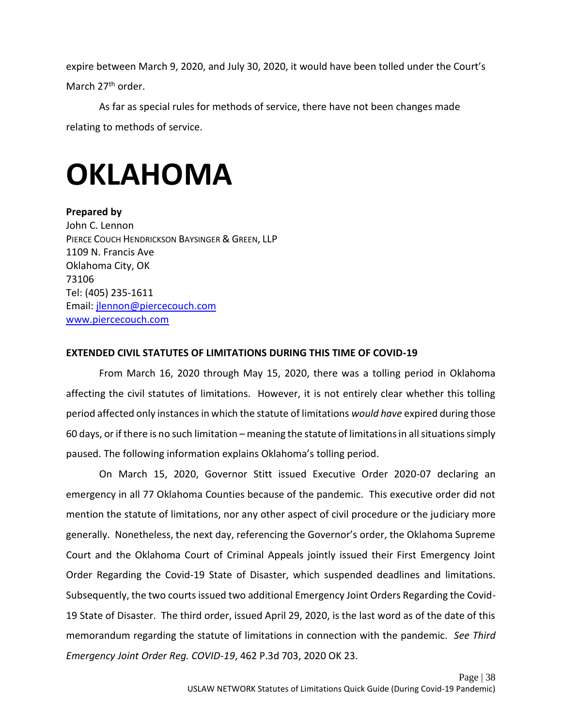expire between March 9, 2020, and July 30, 2020, it would have been tolled under the Court's March 27<sup>th</sup> order.

As far as special rules for methods of service, there have not been changes made relating to methods of service.

## <span id="page-38-0"></span>**OKLAHOMA**

**Prepared by**  John C. Lennon PIERCE COUCH HENDRICKSON BAYSINGER & GREEN, LLP 1109 N. Francis Ave Oklahoma City, OK 73106 Tel: (405) 235-1611 Email: [jlennon@piercecouch.com](mailto:jlennon@piercecouch.com)  [www.piercecouch.com](https://www.piercecouch.com/)

### **EXTENDED CIVIL STATUTES OF LIMITATIONS DURING THIS TIME OF COVID-19**

From March 16, 2020 through May 15, 2020, there was a tolling period in Oklahoma affecting the civil statutes of limitations. However, it is not entirely clear whether this tolling period affected only instances in which the statute of limitations *would have* expired during those 60 days, or if there is no such limitation – meaning the statute of limitations in all situations simply paused. The following information explains Oklahoma's tolling period.

On March 15, 2020, Governor Stitt issued Executive Order 2020-07 declaring an emergency in all 77 Oklahoma Counties because of the pandemic. This executive order did not mention the statute of limitations, nor any other aspect of civil procedure or the judiciary more generally. Nonetheless, the next day, referencing the Governor's order, the Oklahoma Supreme Court and the Oklahoma Court of Criminal Appeals jointly issued their First Emergency Joint Order Regarding the Covid-19 State of Disaster, which suspended deadlines and limitations. Subsequently, the two courts issued two additional Emergency Joint Orders Regarding the Covid-19 State of Disaster. The third order, issued April 29, 2020, is the last word as of the date of this memorandum regarding the statute of limitations in connection with the pandemic. *See Third Emergency Joint Order Reg. COVID-19*, 462 P.3d 703, 2020 OK 23.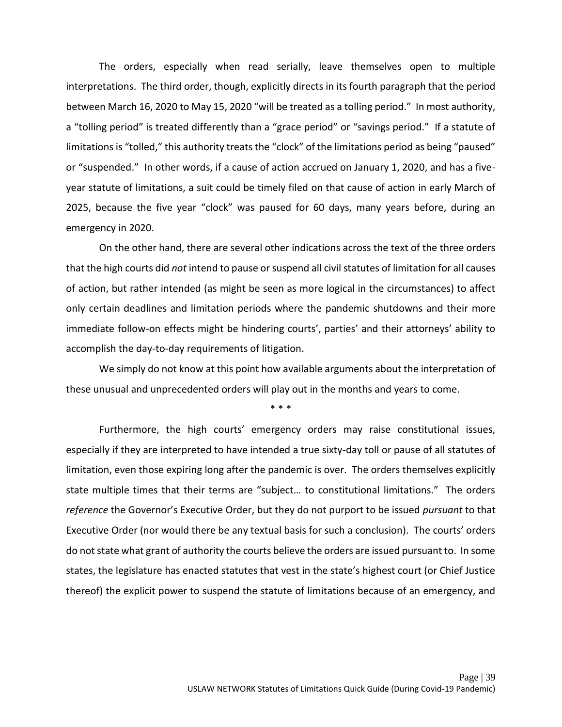The orders, especially when read serially, leave themselves open to multiple interpretations. The third order, though, explicitly directs in its fourth paragraph that the period between March 16, 2020 to May 15, 2020 "will be treated as a tolling period." In most authority, a "tolling period" is treated differently than a "grace period" or "savings period." If a statute of limitations is "tolled," this authority treats the "clock" of the limitations period as being "paused" or "suspended." In other words, if a cause of action accrued on January 1, 2020, and has a fiveyear statute of limitations, a suit could be timely filed on that cause of action in early March of 2025, because the five year "clock" was paused for 60 days, many years before, during an emergency in 2020.

On the other hand, there are several other indications across the text of the three orders that the high courts did *not* intend to pause or suspend all civil statutes of limitation for all causes of action, but rather intended (as might be seen as more logical in the circumstances) to affect only certain deadlines and limitation periods where the pandemic shutdowns and their more immediate follow-on effects might be hindering courts', parties' and their attorneys' ability to accomplish the day-to-day requirements of litigation.

We simply do not know at this point how available arguments about the interpretation of these unusual and unprecedented orders will play out in the months and years to come.

\* \* \*

Furthermore, the high courts' emergency orders may raise constitutional issues, especially if they are interpreted to have intended a true sixty-day toll or pause of all statutes of limitation, even those expiring long after the pandemic is over. The orders themselves explicitly state multiple times that their terms are "subject… to constitutional limitations." The orders *reference* the Governor's Executive Order, but they do not purport to be issued *pursuant* to that Executive Order (nor would there be any textual basis for such a conclusion). The courts' orders do not state what grant of authority the courts believe the orders are issued pursuant to. In some states, the legislature has enacted statutes that vest in the state's highest court (or Chief Justice thereof) the explicit power to suspend the statute of limitations because of an emergency, and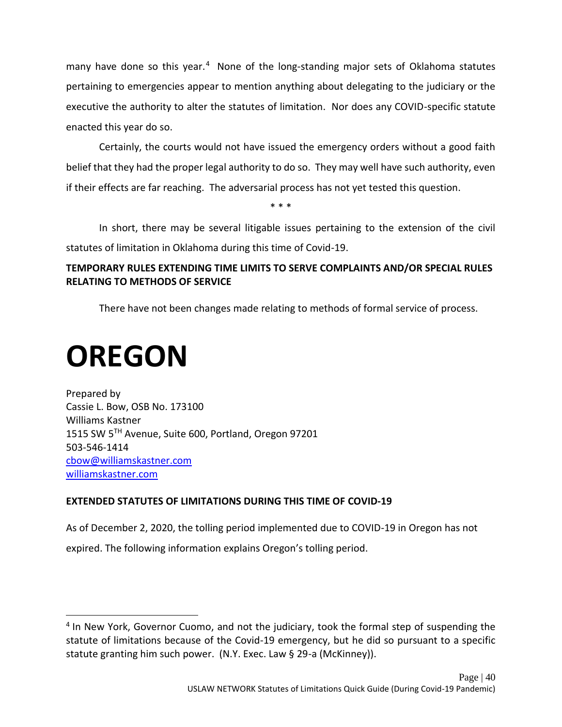many have done so this year.<sup>4</sup> None of the long-standing major sets of Oklahoma statutes pertaining to emergencies appear to mention anything about delegating to the judiciary or the executive the authority to alter the statutes of limitation. Nor does any COVID-specific statute enacted this year do so.

Certainly, the courts would not have issued the emergency orders without a good faith belief that they had the proper legal authority to do so. They may well have such authority, even if their effects are far reaching. The adversarial process has not yet tested this question.

In short, there may be several litigable issues pertaining to the extension of the civil statutes of limitation in Oklahoma during this time of Covid-19.

\* \* \*

## **TEMPORARY RULES EXTENDING TIME LIMITS TO SERVE COMPLAINTS AND/OR SPECIAL RULES RELATING TO METHODS OF SERVICE**

There have not been changes made relating to methods of formal service of process.

# <span id="page-40-0"></span>**OREGON**

Prepared by Cassie L. Bow, OSB No. 173100 Williams Kastner 1515 SW 5TH Avenue, Suite 600, Portland, Oregon 97201 503-546-1414 [cbow@williamskastner.com](mailto:cbow@williamskastner.com) [williamskastner.com](https://www.williamskastner.com/)

## **EXTENDED STATUTES OF LIMITATIONS DURING THIS TIME OF COVID-19**

As of December 2, 2020, the tolling period implemented due to COVID-19 in Oregon has not expired. The following information explains Oregon's tolling period.

<sup>&</sup>lt;sup>4</sup> In New York, Governor Cuomo, and not the judiciary, took the formal step of suspending the statute of limitations because of the Covid-19 emergency, but he did so pursuant to a specific statute granting him such power. (N.Y. Exec. Law § 29-a (McKinney)).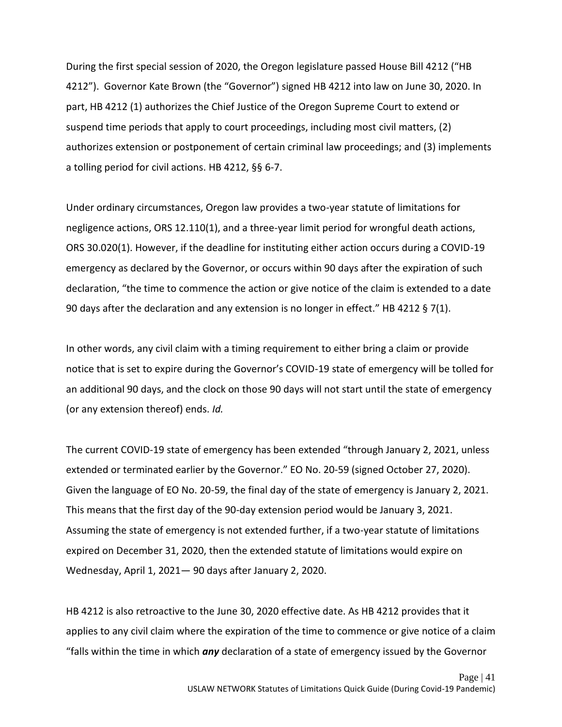During the first special session of 2020, the Oregon legislature passed House Bill 4212 ("HB 4212"). Governor Kate Brown (the "Governor") signed HB 4212 into law on June 30, 2020. In part, HB 4212 (1) authorizes the Chief Justice of the Oregon Supreme Court to extend or suspend time periods that apply to court proceedings, including most civil matters, (2) authorizes extension or postponement of certain criminal law proceedings; and (3) implements a tolling period for civil actions. HB 4212, §§ 6-7.

Under ordinary circumstances, Oregon law provides a two-year statute of limitations for negligence actions, ORS 12.110(1), and a three-year limit period for wrongful death actions, ORS 30.020(1). However, if the deadline for instituting either action occurs during a COVID-19 emergency as declared by the Governor, or occurs within 90 days after the expiration of such declaration, "the time to commence the action or give notice of the claim is extended to a date 90 days after the declaration and any extension is no longer in effect." HB 4212  $\S$  7(1).

In other words, any civil claim with a timing requirement to either bring a claim or provide notice that is set to expire during the Governor's COVID-19 state of emergency will be tolled for an additional 90 days, and the clock on those 90 days will not start until the state of emergency (or any extension thereof) ends. *Id.*

The current COVID-19 state of emergency has been extended "through January 2, 2021, unless extended or terminated earlier by the Governor." EO No. 20-59 (signed October 27, 2020). Given the language of EO No. 20-59, the final day of the state of emergency is January 2, 2021. This means that the first day of the 90-day extension period would be January 3, 2021. Assuming the state of emergency is not extended further, if a two-year statute of limitations expired on December 31, 2020, then the extended statute of limitations would expire on Wednesday, April 1, 2021— 90 days after January 2, 2020.

HB 4212 is also retroactive to the June 30, 2020 effective date. As HB 4212 provides that it applies to any civil claim where the expiration of the time to commence or give notice of a claim "falls within the time in which *any* declaration of a state of emergency issued by the Governor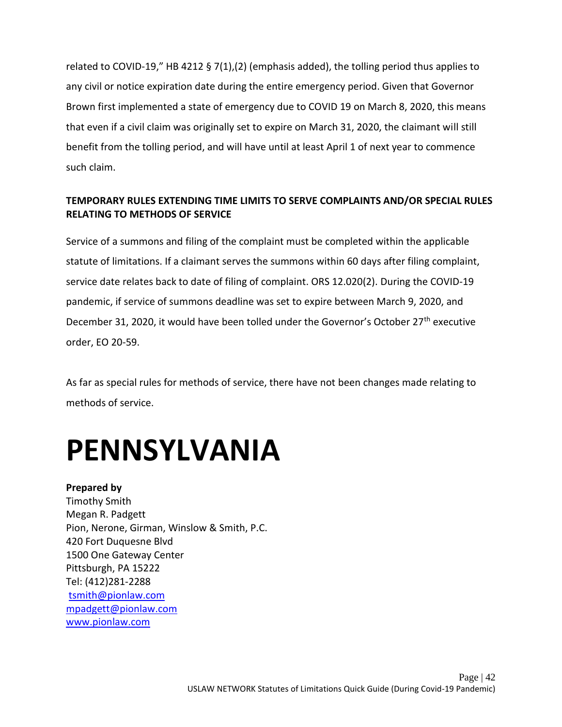related to COVID-19," HB 4212 § 7(1),(2) (emphasis added), the tolling period thus applies to any civil or notice expiration date during the entire emergency period. Given that Governor Brown first implemented a state of emergency due to COVID 19 on March 8, 2020, this means that even if a civil claim was originally set to expire on March 31, 2020, the claimant will still benefit from the tolling period, and will have until at least April 1 of next year to commence such claim.

## **TEMPORARY RULES EXTENDING TIME LIMITS TO SERVE COMPLAINTS AND/OR SPECIAL RULES RELATING TO METHODS OF SERVICE**

Service of a summons and filing of the complaint must be completed within the applicable statute of limitations. If a claimant serves the summons within 60 days after filing complaint, service date relates back to date of filing of complaint. ORS 12.020(2). During the COVID-19 pandemic, if service of summons deadline was set to expire between March 9, 2020, and December 31, 2020, it would have been tolled under the Governor's October 27<sup>th</sup> executive order, EO 20-59.

As far as special rules for methods of service, there have not been changes made relating to methods of service.

## <span id="page-42-0"></span>**PENNSYLVANIA**

**Prepared by**  Timothy Smith Megan R. Padgett Pion, Nerone, Girman, Winslow & Smith, P.C. 420 Fort Duquesne Blvd 1500 One Gateway Center Pittsburgh, PA 15222 Tel: (412)281-2288 [tsmith@pionlaw.com](mailto:tsmith@pionlaw.com) [mpadgett@pionlaw.com](mailto:mpadgett@pionlaw.com)  [www.pionlaw.com](http://www.pionlaw.com/)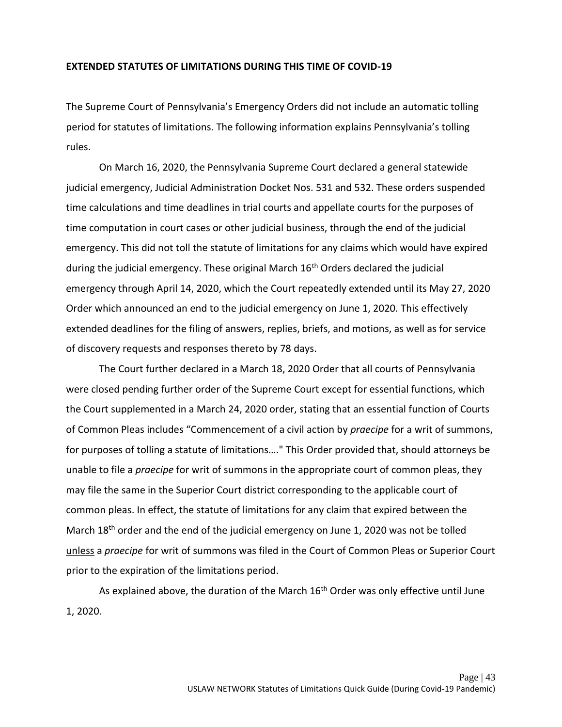#### **EXTENDED STATUTES OF LIMITATIONS DURING THIS TIME OF COVID-19**

The Supreme Court of Pennsylvania's Emergency Orders did not include an automatic tolling period for statutes of limitations. The following information explains Pennsylvania's tolling rules.

On March 16, 2020, the Pennsylvania Supreme Court declared a general statewide judicial emergency, Judicial Administration Docket Nos. 531 and 532. These orders suspended time calculations and time deadlines in trial courts and appellate courts for the purposes of time computation in court cases or other judicial business, through the end of the judicial emergency. This did not toll the statute of limitations for any claims which would have expired during the judicial emergency. These original March 16<sup>th</sup> Orders declared the judicial emergency through April 14, 2020, which the Court repeatedly extended until its May 27, 2020 Order which announced an end to the judicial emergency on June 1, 2020. This effectively extended deadlines for the filing of answers, replies, briefs, and motions, as well as for service of discovery requests and responses thereto by 78 days.

The Court further declared in a March 18, 2020 Order that all courts of Pennsylvania were closed pending further order of the Supreme Court except for essential functions, which the Court supplemented in a March 24, 2020 order, stating that an essential function of Courts of Common Pleas includes "Commencement of a civil action by *praecipe* for a writ of summons, for purposes of tolling a statute of limitations…." This Order provided that, should attorneys be unable to file a *praecipe* for writ of summons in the appropriate court of common pleas, they may file the same in the Superior Court district corresponding to the applicable court of common pleas. In effect, the statute of limitations for any claim that expired between the March 18<sup>th</sup> order and the end of the judicial emergency on June 1, 2020 was not be tolled unless a *praecipe* for writ of summons was filed in the Court of Common Pleas or Superior Court prior to the expiration of the limitations period.

As explained above, the duration of the March  $16<sup>th</sup>$  Order was only effective until June 1, 2020.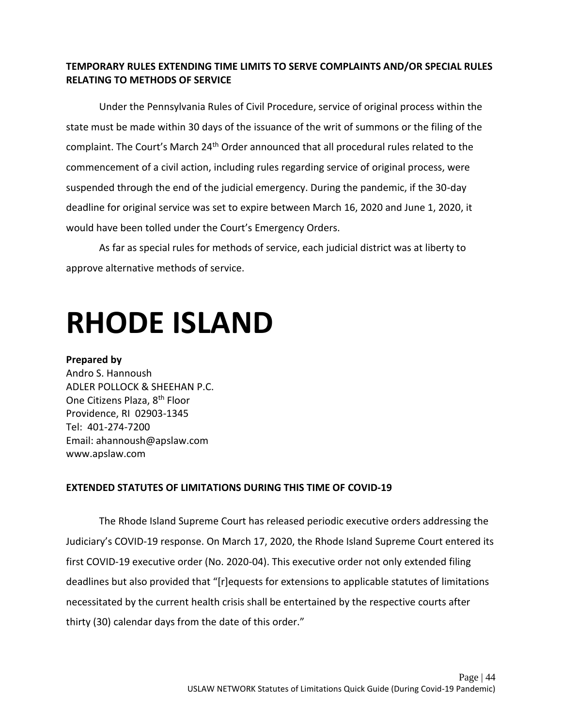### **TEMPORARY RULES EXTENDING TIME LIMITS TO SERVE COMPLAINTS AND/OR SPECIAL RULES RELATING TO METHODS OF SERVICE**

Under the Pennsylvania Rules of Civil Procedure, service of original process within the state must be made within 30 days of the issuance of the writ of summons or the filing of the complaint. The Court's March 24<sup>th</sup> Order announced that all procedural rules related to the commencement of a civil action, including rules regarding service of original process, were suspended through the end of the judicial emergency. During the pandemic, if the 30-day deadline for original service was set to expire between March 16, 2020 and June 1, 2020, it would have been tolled under the Court's Emergency Orders.

As far as special rules for methods of service, each judicial district was at liberty to approve alternative methods of service.

## <span id="page-44-0"></span>**RHODE ISLAND**

#### **Prepared by**

Andro S. Hannoush ADLER POLLOCK & SHEEHAN P.C. One Citizens Plaza, 8th Floor Providence, RI 02903-1345 Tel: 401-274-7200 Email: ahannoush@apslaw.com www.apslaw.com

## **EXTENDED STATUTES OF LIMITATIONS DURING THIS TIME OF COVID-19**

The Rhode Island Supreme Court has released periodic executive orders addressing the Judiciary's COVID-19 response. On March 17, 2020, the Rhode Island Supreme Court entered its first COVID-19 executive order (No. 2020-04). This executive order not only extended filing deadlines but also provided that "[r]equests for extensions to applicable statutes of limitations necessitated by the current health crisis shall be entertained by the respective courts after thirty (30) calendar days from the date of this order."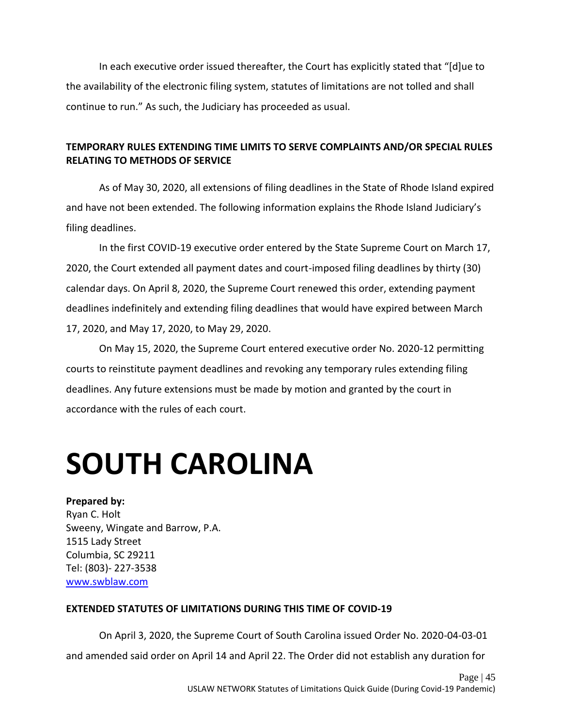In each executive order issued thereafter, the Court has explicitly stated that "[d]ue to the availability of the electronic filing system, statutes of limitations are not tolled and shall continue to run." As such, the Judiciary has proceeded as usual.

## **TEMPORARY RULES EXTENDING TIME LIMITS TO SERVE COMPLAINTS AND/OR SPECIAL RULES RELATING TO METHODS OF SERVICE**

As of May 30, 2020, all extensions of filing deadlines in the State of Rhode Island expired and have not been extended. The following information explains the Rhode Island Judiciary's filing deadlines.

In the first COVID-19 executive order entered by the State Supreme Court on March 17, 2020, the Court extended all payment dates and court-imposed filing deadlines by thirty (30) calendar days. On April 8, 2020, the Supreme Court renewed this order, extending payment deadlines indefinitely and extending filing deadlines that would have expired between March 17, 2020, and May 17, 2020, to May 29, 2020.

On May 15, 2020, the Supreme Court entered executive order No. 2020-12 permitting courts to reinstitute payment deadlines and revoking any temporary rules extending filing deadlines. Any future extensions must be made by motion and granted by the court in accordance with the rules of each court.

# <span id="page-45-0"></span>**SOUTH CAROLINA**

### **Prepared by:**

Ryan C. Holt Sweeny, Wingate and Barrow, P.A. 1515 Lady Street Columbia, SC 29211 Tel: (803)- 227-3538 [www.swblaw.com](http://www.swblaw.com/)

### **EXTENDED STATUTES OF LIMITATIONS DURING THIS TIME OF COVID-19**

On April 3, 2020, the Supreme Court of South Carolina issued Order No. 2020-04-03-01 and amended said order on April 14 and April 22. The Order did not establish any duration for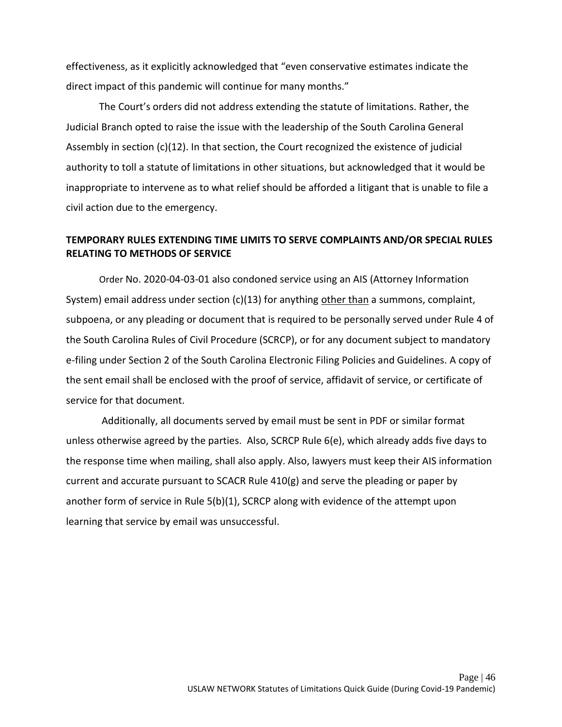effectiveness, as it explicitly acknowledged that "even conservative estimates indicate the direct impact of this pandemic will continue for many months."

The Court's orders did not address extending the statute of limitations. Rather, the Judicial Branch opted to raise the issue with the leadership of the South Carolina General Assembly in section (c)(12). In that section, the Court recognized the existence of judicial authority to toll a statute of limitations in other situations, but acknowledged that it would be inappropriate to intervene as to what relief should be afforded a litigant that is unable to file a civil action due to the emergency.

### **TEMPORARY RULES EXTENDING TIME LIMITS TO SERVE COMPLAINTS AND/OR SPECIAL RULES RELATING TO METHODS OF SERVICE**

Order No. 2020-04-03-01 also condoned service using an AIS (Attorney Information System) email address under section  $(c)(13)$  for anything other than a summons, complaint, subpoena, or any pleading or document that is required to be personally served under Rule 4 of the South Carolina Rules of Civil Procedure (SCRCP), or for any document subject to mandatory e-filing under Section 2 of the South Carolina Electronic Filing Policies and Guidelines. A copy of the sent email shall be enclosed with the proof of service, affidavit of service, or certificate of service for that document.

Additionally, all documents served by email must be sent in PDF or similar format unless otherwise agreed by the parties. Also, SCRCP Rule 6(e), which already adds five days to the response time when mailing, shall also apply. Also, lawyers must keep their AIS information current and accurate pursuant to SCACR Rule 410(g) and serve the pleading or paper by another form of service in Rule 5(b)(1), SCRCP along with evidence of the attempt upon learning that service by email was unsuccessful.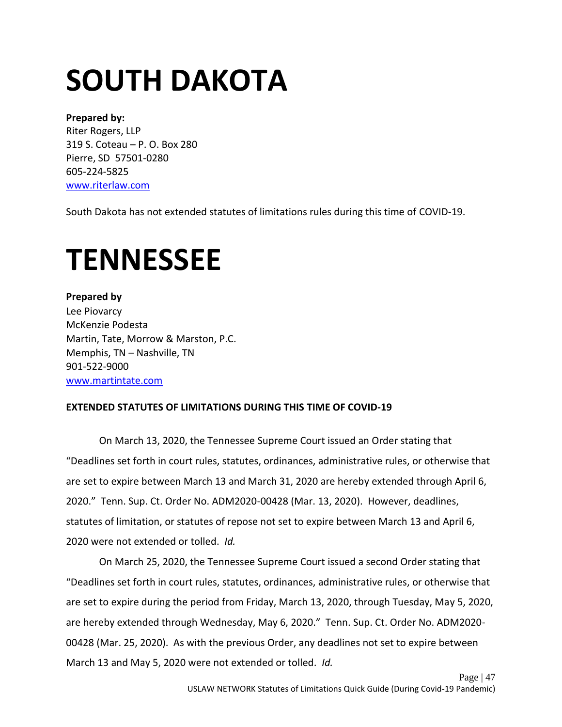# <span id="page-47-0"></span>**SOUTH DAKOTA**

### **Prepared by:**

Riter Rogers, LLP 319 S. Coteau – P. O. Box 280 Pierre, SD 57501-0280 605-224-5825 [www.riterlaw.com](https://www.riterlaw.com/)

South Dakota has not extended statutes of limitations rules during this time of COVID-19.

# <span id="page-47-1"></span>**TENNESSEE**

**Prepared by** Lee Piovarcy McKenzie Podesta Martin, Tate, Morrow & Marston, P.C. Memphis, TN – Nashville, TN 901-522-9000 [www.martintate.com](http://www.martintate.com/)

## **EXTENDED STATUTES OF LIMITATIONS DURING THIS TIME OF COVID-19**

On March 13, 2020, the Tennessee Supreme Court issued an Order stating that "Deadlines set forth in court rules, statutes, ordinances, administrative rules, or otherwise that are set to expire between March 13 and March 31, 2020 are hereby extended through April 6, 2020." Tenn. Sup. Ct. Order No. ADM2020-00428 (Mar. 13, 2020). However, deadlines, statutes of limitation, or statutes of repose not set to expire between March 13 and April 6, 2020 were not extended or tolled. *Id.* 

On March 25, 2020, the Tennessee Supreme Court issued a second Order stating that "Deadlines set forth in court rules, statutes, ordinances, administrative rules, or otherwise that are set to expire during the period from Friday, March 13, 2020, through Tuesday, May 5, 2020, are hereby extended through Wednesday, May 6, 2020." Tenn. Sup. Ct. Order No. ADM2020- 00428 (Mar. 25, 2020). As with the previous Order, any deadlines not set to expire between March 13 and May 5, 2020 were not extended or tolled. *Id.*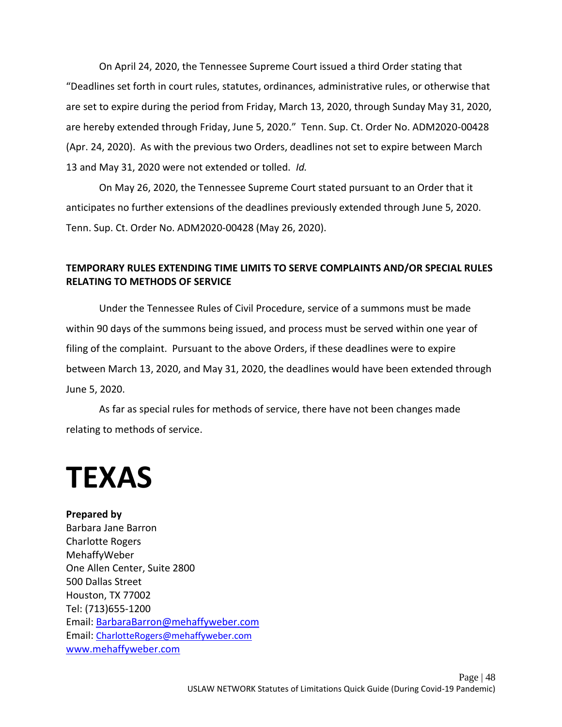On April 24, 2020, the Tennessee Supreme Court issued a third Order stating that "Deadlines set forth in court rules, statutes, ordinances, administrative rules, or otherwise that are set to expire during the period from Friday, March 13, 2020, through Sunday May 31, 2020, are hereby extended through Friday, June 5, 2020." Tenn. Sup. Ct. Order No. ADM2020-00428 (Apr. 24, 2020). As with the previous two Orders, deadlines not set to expire between March 13 and May 31, 2020 were not extended or tolled. *Id.* 

On May 26, 2020, the Tennessee Supreme Court stated pursuant to an Order that it anticipates no further extensions of the deadlines previously extended through June 5, 2020. Tenn. Sup. Ct. Order No. ADM2020-00428 (May 26, 2020).

### **TEMPORARY RULES EXTENDING TIME LIMITS TO SERVE COMPLAINTS AND/OR SPECIAL RULES RELATING TO METHODS OF SERVICE**

Under the Tennessee Rules of Civil Procedure, service of a summons must be made within 90 days of the summons being issued, and process must be served within one year of filing of the complaint. Pursuant to the above Orders, if these deadlines were to expire between March 13, 2020, and May 31, 2020, the deadlines would have been extended through June 5, 2020.

As far as special rules for methods of service, there have not been changes made relating to methods of service.

## <span id="page-48-0"></span>**TEXAS**

### **Prepared by**

Barbara Jane Barron Charlotte Rogers MehaffyWeber One Allen Center, Suite 2800 500 Dallas Street Houston, TX 77002 Tel: (713)655-1200 Email: [BarbaraBarron@mehaffyweber.com](mailto:BarbaraBarron@mehaffyweber.com)  Email: [CharlotteRogers@mehaffyweber.com](mailto:CharlotteRogers@mehaffyweber.com) [www.mehaffyweber.com](http://www.mehaffyweber.com/)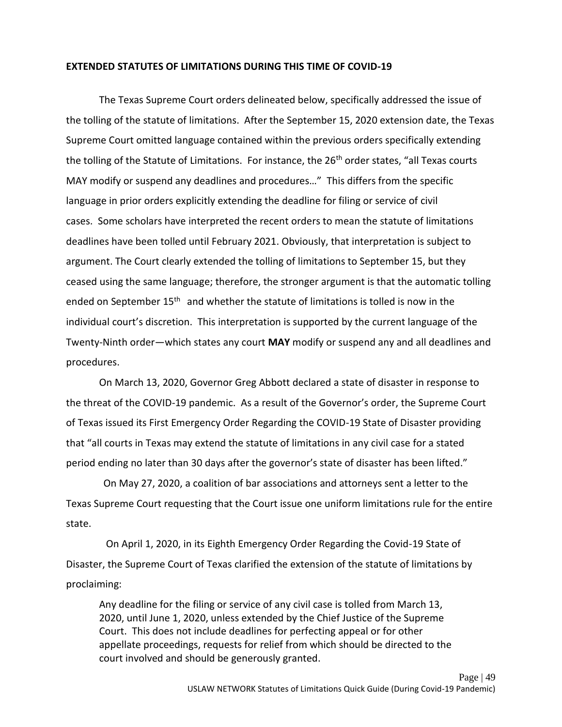#### **EXTENDED STATUTES OF LIMITATIONS DURING THIS TIME OF COVID-19**

The Texas Supreme Court orders delineated below, specifically addressed the issue of the tolling of the statute of limitations. After the September 15, 2020 extension date, the Texas Supreme Court omitted language contained within the previous orders specifically extending the tolling of the Statute of Limitations. For instance, the  $26<sup>th</sup>$  order states, "all Texas courts MAY modify or suspend any deadlines and procedures…" This differs from the specific language in prior orders explicitly extending the deadline for filing or service of civil cases. Some scholars have interpreted the recent orders to mean the statute of limitations deadlines have been tolled until February 2021. Obviously, that interpretation is subject to argument. The Court clearly extended the tolling of limitations to September 15, but they ceased using the same language; therefore, the stronger argument is that the automatic tolling ended on September 15<sup>th</sup> and whether the statute of limitations is tolled is now in the individual court's discretion. This interpretation is supported by the current language of the Twenty-Ninth order—which states any court **MAY** modify or suspend any and all deadlines and procedures.

On March 13, 2020, Governor Greg Abbott declared a state of disaster in response to the threat of the COVID-19 pandemic. As a result of the Governor's order, the Supreme Court of Texas issued its First Emergency Order Regarding the COVID-19 State of Disaster providing that "all courts in Texas may extend the statute of limitations in any civil case for a stated period ending no later than 30 days after the governor's state of disaster has been lifted."

On May 27, 2020, a coalition of bar associations and attorneys sent a letter to the Texas Supreme Court requesting that the Court issue one uniform limitations rule for the entire state.

On April 1, 2020, in its Eighth Emergency Order Regarding the Covid-19 State of Disaster, the Supreme Court of Texas clarified the extension of the statute of limitations by proclaiming:

Any deadline for the filing or service of any civil case is tolled from March 13, 2020, until June 1, 2020, unless extended by the Chief Justice of the Supreme Court. This does not include deadlines for perfecting appeal or for other appellate proceedings, requests for relief from which should be directed to the court involved and should be generously granted.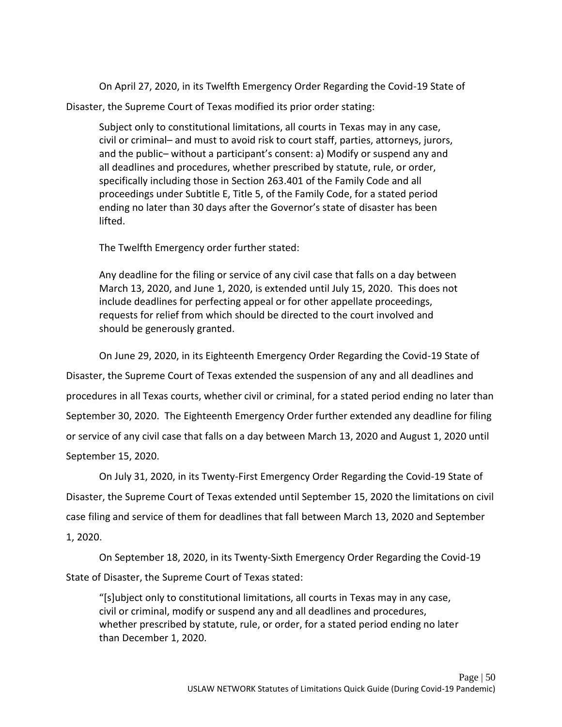On April 27, 2020, in its Twelfth Emergency Order Regarding the Covid-19 State of Disaster, the Supreme Court of Texas modified its prior order stating:

Subject only to constitutional limitations, all courts in Texas may in any case, civil or criminal– and must to avoid risk to court staff, parties, attorneys, jurors, and the public– without a participant's consent: a) Modify or suspend any and all deadlines and procedures, whether prescribed by statute, rule, or order, specifically including those in Section 263.401 of the Family Code and all proceedings under Subtitle E, Title 5, of the Family Code, for a stated period ending no later than 30 days after the Governor's state of disaster has been lifted.

The Twelfth Emergency order further stated:

Any deadline for the filing or service of any civil case that falls on a day between March 13, 2020, and June 1, 2020, is extended until July 15, 2020. This does not include deadlines for perfecting appeal or for other appellate proceedings, requests for relief from which should be directed to the court involved and should be generously granted.

On June 29, 2020, in its Eighteenth Emergency Order Regarding the Covid-19 State of Disaster, the Supreme Court of Texas extended the suspension of any and all deadlines and procedures in all Texas courts, whether civil or criminal, for a stated period ending no later than September 30, 2020. The Eighteenth Emergency Order further extended any deadline for filing or service of any civil case that falls on a day between March 13, 2020 and August 1, 2020 until September 15, 2020.

On July 31, 2020, in its Twenty-First Emergency Order Regarding the Covid-19 State of Disaster, the Supreme Court of Texas extended until September 15, 2020 the limitations on civil case filing and service of them for deadlines that fall between March 13, 2020 and September 1, 2020.

On September 18, 2020, in its Twenty-Sixth Emergency Order Regarding the Covid-19 State of Disaster, the Supreme Court of Texas stated:

"[s]ubject only to constitutional limitations, all courts in Texas may in any case, civil or criminal, modify or suspend any and all deadlines and procedures, whether prescribed by statute, rule, or order, for a stated period ending no later than December 1, 2020.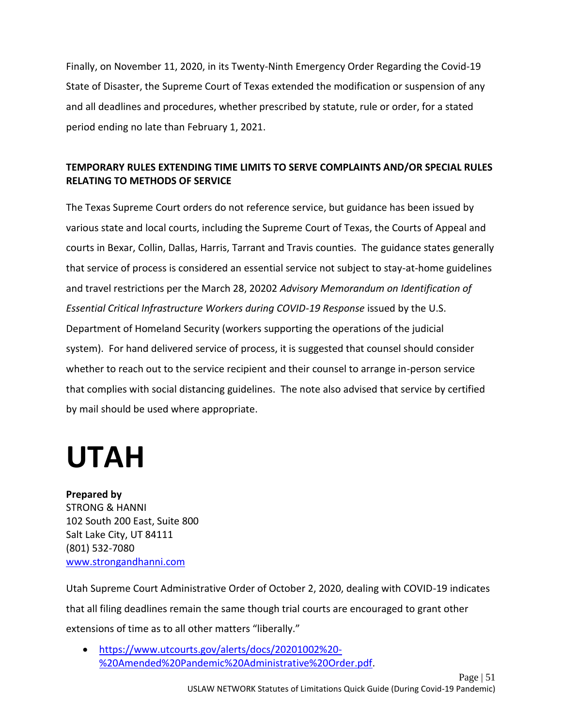Finally, on November 11, 2020, in its Twenty-Ninth Emergency Order Regarding the Covid-19 State of Disaster, the Supreme Court of Texas extended the modification or suspension of any and all deadlines and procedures, whether prescribed by statute, rule or order, for a stated period ending no late than February 1, 2021.

## **TEMPORARY RULES EXTENDING TIME LIMITS TO SERVE COMPLAINTS AND/OR SPECIAL RULES RELATING TO METHODS OF SERVICE**

The Texas Supreme Court orders do not reference service, but guidance has been issued by various state and local courts, including the Supreme Court of Texas, the Courts of Appeal and courts in Bexar, Collin, Dallas, Harris, Tarrant and Travis counties. The guidance states generally that service of process is considered an essential service not subject to stay-at-home guidelines and travel restrictions per the March 28, 20202 *Advisory Memorandum on Identification of Essential Critical Infrastructure Workers during COVID-19 Response* issued by the U.S. Department of Homeland Security (workers supporting the operations of the judicial system). For hand delivered service of process, it is suggested that counsel should consider whether to reach out to the service recipient and their counsel to arrange in-person service that complies with social distancing guidelines. The note also advised that service by certified by mail should be used where appropriate.

## <span id="page-51-0"></span>**UTAH**

## **Prepared by**

STRONG & HANNI 102 South 200 East, Suite 800 Salt Lake City, UT 84111 (801) 532-7080 [www.strongandhanni.com](http://www.strongandhanni.com/)

Utah Supreme Court Administrative Order of October 2, 2020, dealing with COVID-19 indicates that all filing deadlines remain the same though trial courts are encouraged to grant other extensions of time as to all other matters "liberally."

• [https://www.utcourts.gov/alerts/docs/20201002%20-](https://www.utcourts.gov/alerts/docs/20201002%20-%20Amended%20Pandemic%20Administrative%20Order.pdf) [%20Amended%20Pandemic%20Administrative%20Order.pdf.](https://www.utcourts.gov/alerts/docs/20201002%20-%20Amended%20Pandemic%20Administrative%20Order.pdf)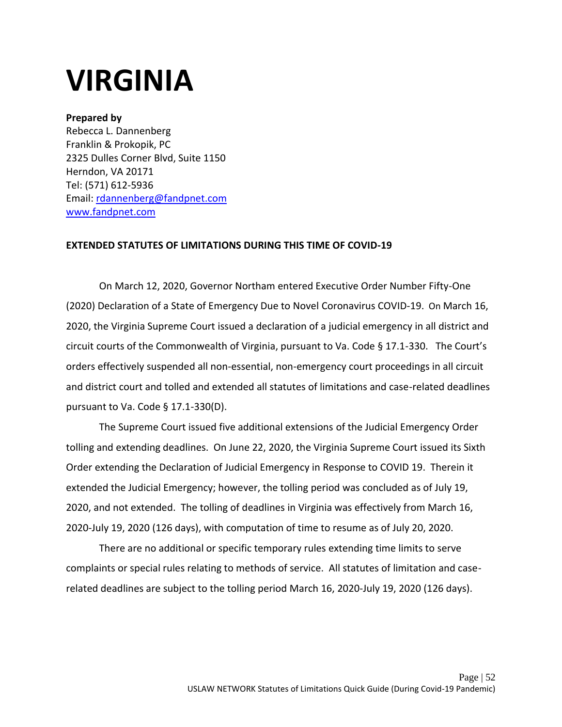## <span id="page-52-0"></span>**VIRGINIA**

### **Prepared by**

Rebecca L. Dannenberg Franklin & Prokopik, PC 2325 Dulles Corner Blvd, Suite 1150 Herndon, VA 20171 Tel: (571) 612-5936 Email: [rdannenberg@fandpnet.com](mailto:rdannenberg@fandpnet.com) [www.fandpnet.com](http://www.fandpnet.com/)

### **EXTENDED STATUTES OF LIMITATIONS DURING THIS TIME OF COVID-19**

On March 12, 2020, Governor Northam entered Executive Order Number Fifty-One (2020) Declaration of a State of Emergency Due to Novel Coronavirus COVID-19. On March 16, 2020, the Virginia Supreme Court issued a declaration of a judicial emergency in all district and circuit courts of the Commonwealth of Virginia, pursuant to Va. Code § 17.1-330. The Court's orders effectively suspended all non-essential, non-emergency court proceedings in all circuit and district court and tolled and extended all statutes of limitations and case-related deadlines pursuant to Va. Code § 17.1-330(D).

The Supreme Court issued five additional extensions of the Judicial Emergency Order tolling and extending deadlines. On June 22, 2020, the Virginia Supreme Court issued its Sixth Order extending the Declaration of Judicial Emergency in Response to COVID 19. Therein it extended the Judicial Emergency; however, the tolling period was concluded as of July 19, 2020, and not extended. The tolling of deadlines in Virginia was effectively from March 16, 2020-July 19, 2020 (126 days), with computation of time to resume as of July 20, 2020.

There are no additional or specific temporary rules extending time limits to serve complaints or special rules relating to methods of service. All statutes of limitation and caserelated deadlines are subject to the tolling period March 16, 2020-July 19, 2020 (126 days).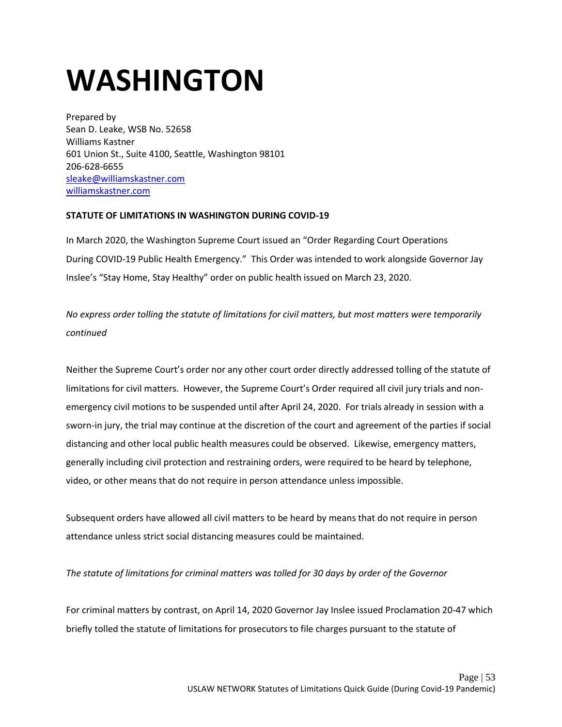# <span id="page-53-0"></span>**WASHINGTON**

Prepared by Sean D. Leake, WSB No. 52658 Williams Kastner 601 Union St., Suite 4100, Seattle, Washington 98101 206-628-6655 [sleake@williamskastner.com](mailto:sleake@williamskastner.com) [williamskastner.com](https://www.williamskastner.com/)

#### **STATUTE OF LIMITATIONS IN WASHINGTON DURING COVID-19**

In March 2020, the Washington Supreme Court issued an "Order Regarding Court Operations During COVID-19 Public Health Emergency." This Order was intended to work alongside Governor Jay Inslee's "Stay Home, Stay Healthy" order on public health issued on March 23, 2020.

*No express order tolling the statute of limitations for civil matters, but most matters were temporarily continued* 

Neither the Supreme Court's order nor any other court order directly addressed tolling of the statute of limitations for civil matters. However, the Supreme Court's Order required all civil jury trials and nonemergency civil motions to be suspended until after April 24, 2020. For trials already in session with a sworn-in jury, the trial may continue at the discretion of the court and agreement of the parties if social distancing and other local public health measures could be observed. Likewise, emergency matters, generally including civil protection and restraining orders, were required to be heard by telephone, video, or other means that do not require in person attendance unless impossible.

Subsequent orders have allowed all civil matters to be heard by means that do not require in person attendance unless strict social distancing measures could be maintained.

*The statute of limitations for criminal matters was tolled for 30 days by order of the Governor*

For criminal matters by contrast, on April 14, 2020 Governor Jay Inslee issued Proclamation 20-47 which briefly tolled the statute of limitations for prosecutors to file charges pursuant to the statute of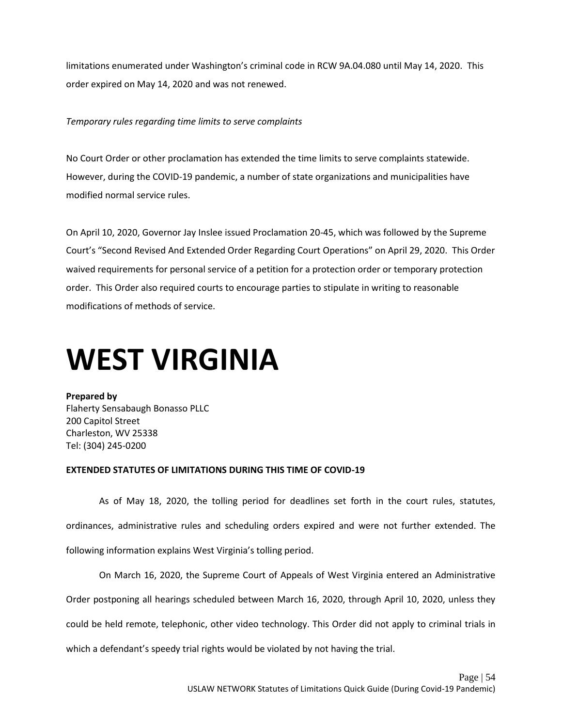limitations enumerated under Washington's criminal code in RCW 9A.04.080 until May 14, 2020. This order expired on May 14, 2020 and was not renewed.

#### *Temporary rules regarding time limits to serve complaints*

No Court Order or other proclamation has extended the time limits to serve complaints statewide. However, during the COVID-19 pandemic, a number of state organizations and municipalities have modified normal service rules.

On April 10, 2020, Governor Jay Inslee issued Proclamation 20-45, which was followed by the Supreme Court's "Second Revised And Extended Order Regarding Court Operations" on April 29, 2020. This Order waived requirements for personal service of a petition for a protection order or temporary protection order. This Order also required courts to encourage parties to stipulate in writing to reasonable modifications of methods of service.

## <span id="page-54-0"></span>**WEST VIRGINIA**

**Prepared by**  Flaherty Sensabaugh Bonasso PLLC 200 Capitol Street Charleston, WV 25338 Tel: (304) 245-0200

#### **EXTENDED STATUTES OF LIMITATIONS DURING THIS TIME OF COVID-19**

As of May 18, 2020, the tolling period for deadlines set forth in the court rules, statutes, ordinances, administrative rules and scheduling orders expired and were not further extended. The following information explains West Virginia's tolling period.

On March 16, 2020, the Supreme Court of Appeals of West Virginia entered an Administrative Order postponing all hearings scheduled between March 16, 2020, through April 10, 2020, unless they could be held remote, telephonic, other video technology. This Order did not apply to criminal trials in which a defendant's speedy trial rights would be violated by not having the trial.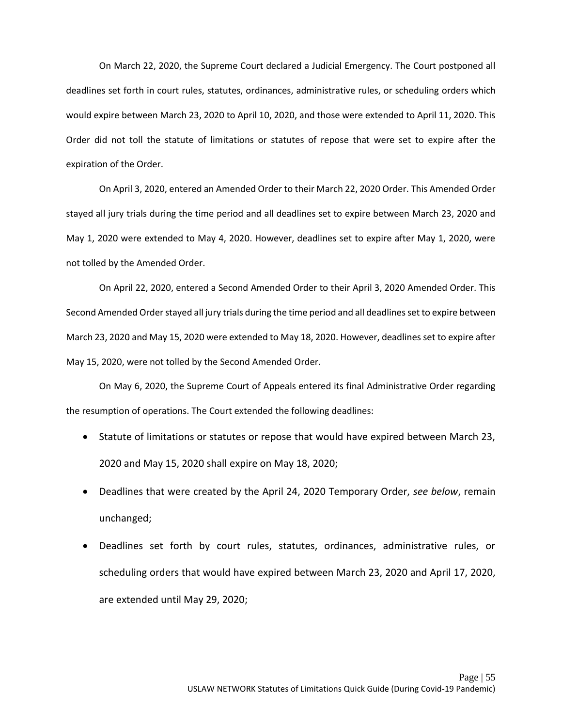On March 22, 2020, the Supreme Court declared a Judicial Emergency. The Court postponed all deadlines set forth in court rules, statutes, ordinances, administrative rules, or scheduling orders which would expire between March 23, 2020 to April 10, 2020, and those were extended to April 11, 2020. This Order did not toll the statute of limitations or statutes of repose that were set to expire after the expiration of the Order.

On April 3, 2020, entered an Amended Order to their March 22, 2020 Order. This Amended Order stayed all jury trials during the time period and all deadlines set to expire between March 23, 2020 and May 1, 2020 were extended to May 4, 2020. However, deadlines set to expire after May 1, 2020, were not tolled by the Amended Order.

On April 22, 2020, entered a Second Amended Order to their April 3, 2020 Amended Order. This Second Amended Order stayed all jury trials during the time period and all deadlines set to expire between March 23, 2020 and May 15, 2020 were extended to May 18, 2020. However, deadlines set to expire after May 15, 2020, were not tolled by the Second Amended Order.

On May 6, 2020, the Supreme Court of Appeals entered its final Administrative Order regarding the resumption of operations. The Court extended the following deadlines:

- Statute of limitations or statutes or repose that would have expired between March 23, 2020 and May 15, 2020 shall expire on May 18, 2020;
- Deadlines that were created by the April 24, 2020 Temporary Order, *see below*, remain unchanged;
- Deadlines set forth by court rules, statutes, ordinances, administrative rules, or scheduling orders that would have expired between March 23, 2020 and April 17, 2020, are extended until May 29, 2020;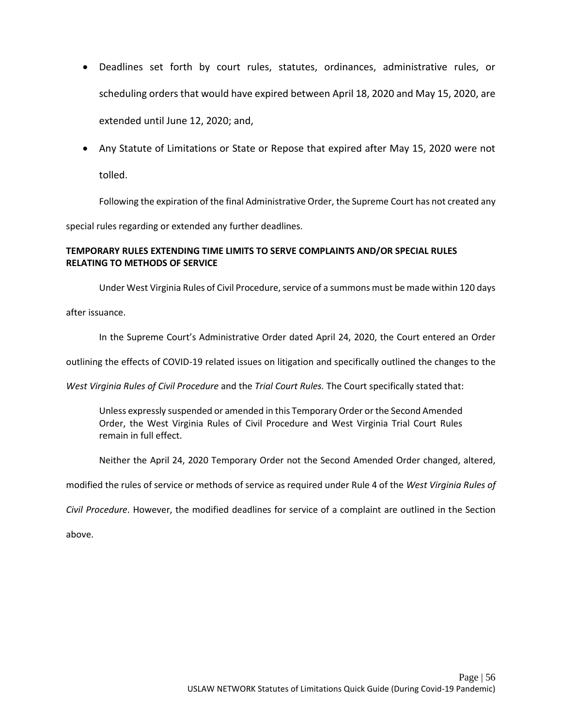- Deadlines set forth by court rules, statutes, ordinances, administrative rules, or scheduling orders that would have expired between April 18, 2020 and May 15, 2020, are extended until June 12, 2020; and,
- Any Statute of Limitations or State or Repose that expired after May 15, 2020 were not tolled.

Following the expiration of the final Administrative Order, the Supreme Court has not created any

special rules regarding or extended any further deadlines.

### **TEMPORARY RULES EXTENDING TIME LIMITS TO SERVE COMPLAINTS AND/OR SPECIAL RULES RELATING TO METHODS OF SERVICE**

Under West Virginia Rules of Civil Procedure, service of a summons must be made within 120 days after issuance.

In the Supreme Court's Administrative Order dated April 24, 2020, the Court entered an Order

outlining the effects of COVID-19 related issues on litigation and specifically outlined the changes to the

*West Virginia Rules of Civil Procedure* and the *Trial Court Rules.* The Court specifically stated that:

Unless expressly suspended or amended in this Temporary Order or the Second Amended Order, the West Virginia Rules of Civil Procedure and West Virginia Trial Court Rules remain in full effect.

Neither the April 24, 2020 Temporary Order not the Second Amended Order changed, altered,

modified the rules of service or methods of service as required under Rule 4 of the *West Virginia Rules of* 

*Civil Procedure*. However, the modified deadlines for service of a complaint are outlined in the Section

above.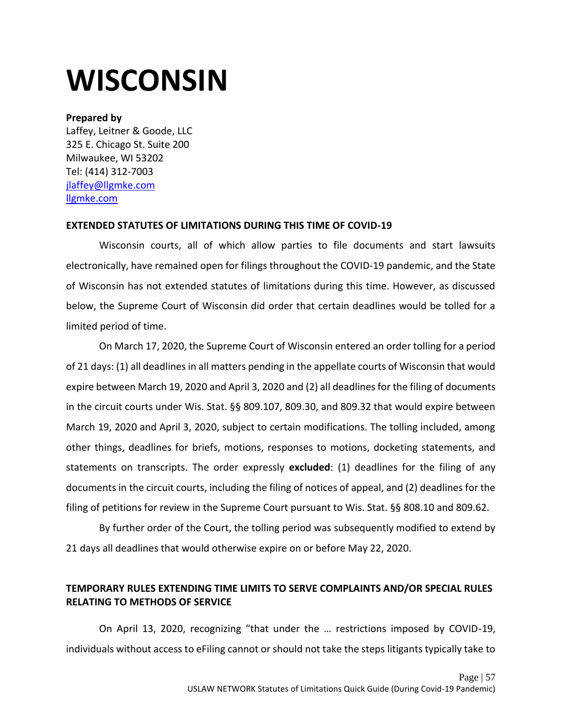# <span id="page-57-0"></span>**WISCONSIN**

#### **Prepared by**

Laffey, Leitner & Goode, LLC 325 E. Chicago St. Suite 200 Milwaukee, WI 53202 Tel: (414) 312-7003 [jlaffey@llgmke.com](mailto:jlaffey@llgmke.com) [llgmke.com](https://llgmke.com/)

### **EXTENDED STATUTES OF LIMITATIONS DURING THIS TIME OF COVID-19**

Wisconsin courts, all of which allow parties to file documents and start lawsuits electronically, have remained open for filings throughout the COVID-19 pandemic, and the State of Wisconsin has not extended statutes of limitations during this time. However, as discussed below, the Supreme Court of Wisconsin did order that certain deadlines would be tolled for a limited period of time.

On March 17, 2020, the Supreme Court of Wisconsin entered an order tolling for a period of 21 days: (1) all deadlines in all matters pending in the appellate courts of Wisconsin that would expire between March 19, 2020 and April 3, 2020 and (2) all deadlines for the filing of documents in the circuit courts under Wis. Stat. §§ 809.107, 809.30, and 809.32 that would expire between March 19, 2020 and April 3, 2020, subject to certain modifications. The tolling included, among other things, deadlines for briefs, motions, responses to motions, docketing statements, and statements on transcripts. The order expressly **excluded**: (1) deadlines for the filing of any documents in the circuit courts, including the filing of notices of appeal, and (2) deadlines for the filing of petitions for review in the Supreme Court pursuant to Wis. Stat. §§ 808.10 and 809.62.

By further order of the Court, the tolling period was subsequently modified to extend by 21 days all deadlines that would otherwise expire on or before May 22, 2020.

## **TEMPORARY RULES EXTENDING TIME LIMITS TO SERVE COMPLAINTS AND/OR SPECIAL RULES RELATING TO METHODS OF SERVICE**

On April 13, 2020, recognizing "that under the … restrictions imposed by COVID-19, individuals without access to eFiling cannot or should not take the steps litigants typically take to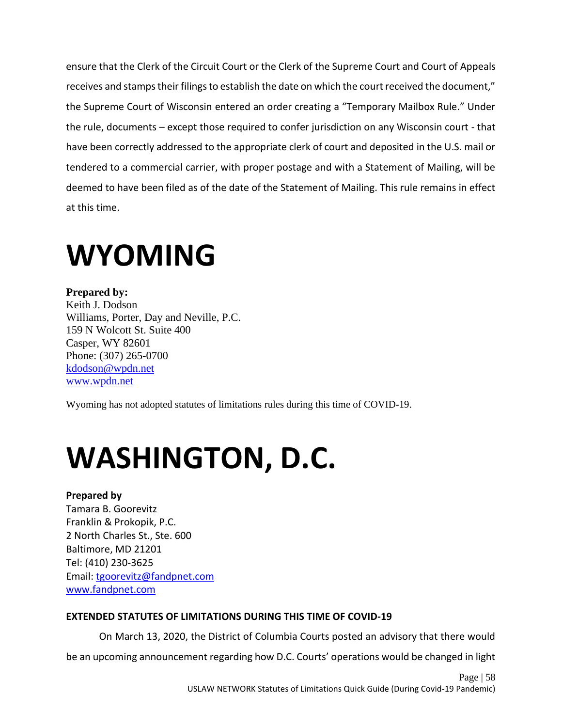ensure that the Clerk of the Circuit Court or the Clerk of the Supreme Court and Court of Appeals receives and stamps their filings to establish the date on which the court received the document," the Supreme Court of Wisconsin entered an order creating a "Temporary Mailbox Rule." Under the rule, documents – except those required to confer jurisdiction on any Wisconsin court - that have been correctly addressed to the appropriate clerk of court and deposited in the U.S. mail or tendered to a commercial carrier, with proper postage and with a Statement of Mailing, will be deemed to have been filed as of the date of the Statement of Mailing. This rule remains in effect at this time.

## <span id="page-58-0"></span>**WYOMING**

**Prepared by:** Keith J. Dodson Williams, Porter, Day and Neville, P.C. 159 N Wolcott St. Suite 400 Casper, WY 82601 Phone: (307) 265-0700 [kdodson@wpdn.net](mailto:kdodson@wpdn.net) [www.wpdn.net](https://www.wpdn.net/)

Wyoming has not adopted statutes of limitations rules during this time of COVID-19.

# <span id="page-58-1"></span>**WASHINGTON, D.C.**

### **Prepared by**

Tamara B. Goorevitz Franklin & Prokopik, P.C. 2 North Charles St., Ste. 600 Baltimore, MD 21201 Tel: (410) 230-3625 Email: [tgoorevitz@fandpnet.com](mailto:tgoorevitz@fandpnet.com)  [www.fandpnet.com](http://www.fandpnet.com/)

### **EXTENDED STATUTES OF LIMITATIONS DURING THIS TIME OF COVID-19**

On March 13, 2020, the District of Columbia Courts posted an advisory that there would be an upcoming announcement regarding how D.C. Courts' operations would be changed in light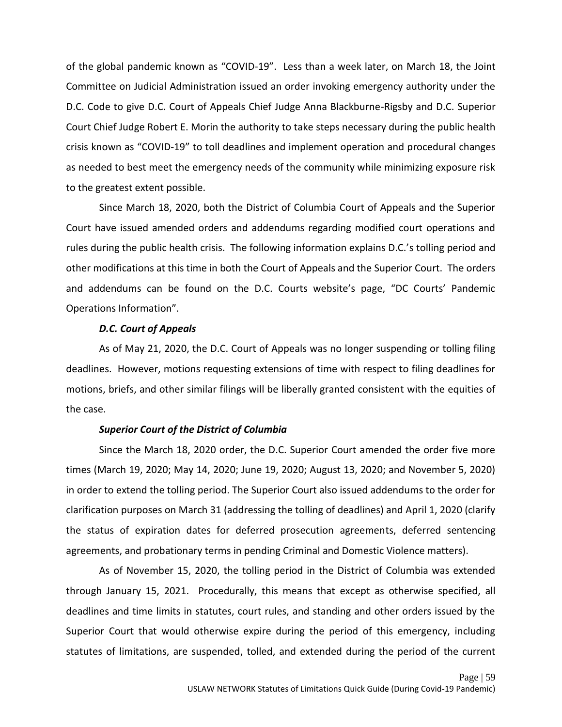of the global pandemic known as "COVID-19". Less than a week later, on March 18, the Joint Committee on Judicial Administration issued an order invoking emergency authority under the D.C. Code to give D.C. Court of Appeals Chief Judge Anna Blackburne-Rigsby and D.C. Superior Court Chief Judge Robert E. Morin the authority to take steps necessary during the public health crisis known as "COVID-19" to toll deadlines and implement operation and procedural changes as needed to best meet the emergency needs of the community while minimizing exposure risk to the greatest extent possible.

Since March 18, 2020, both the District of Columbia Court of Appeals and the Superior Court have issued amended orders and addendums regarding modified court operations and rules during the public health crisis. The following information explains D.C.'s tolling period and other modifications at this time in both the Court of Appeals and the Superior Court. The orders and addendums can be found on the D.C. Courts website's page, "DC Courts' Pandemic Operations Information".

#### *D.C. Court of Appeals*

As of May 21, 2020, the D.C. Court of Appeals was no longer suspending or tolling filing deadlines. However, motions requesting extensions of time with respect to filing deadlines for motions, briefs, and other similar filings will be liberally granted consistent with the equities of the case.

#### *Superior Court of the District of Columbia*

Since the March 18, 2020 order, the D.C. Superior Court amended the order five more times (March 19, 2020; May 14, 2020; June 19, 2020; August 13, 2020; and November 5, 2020) in order to extend the tolling period. The Superior Court also issued addendums to the order for clarification purposes on March 31 (addressing the tolling of deadlines) and April 1, 2020 (clarify the status of expiration dates for deferred prosecution agreements, deferred sentencing agreements, and probationary terms in pending Criminal and Domestic Violence matters).

As of November 15, 2020, the tolling period in the District of Columbia was extended through January 15, 2021. Procedurally, this means that except as otherwise specified, all deadlines and time limits in statutes, court rules, and standing and other orders issued by the Superior Court that would otherwise expire during the period of this emergency, including statutes of limitations, are suspended, tolled, and extended during the period of the current